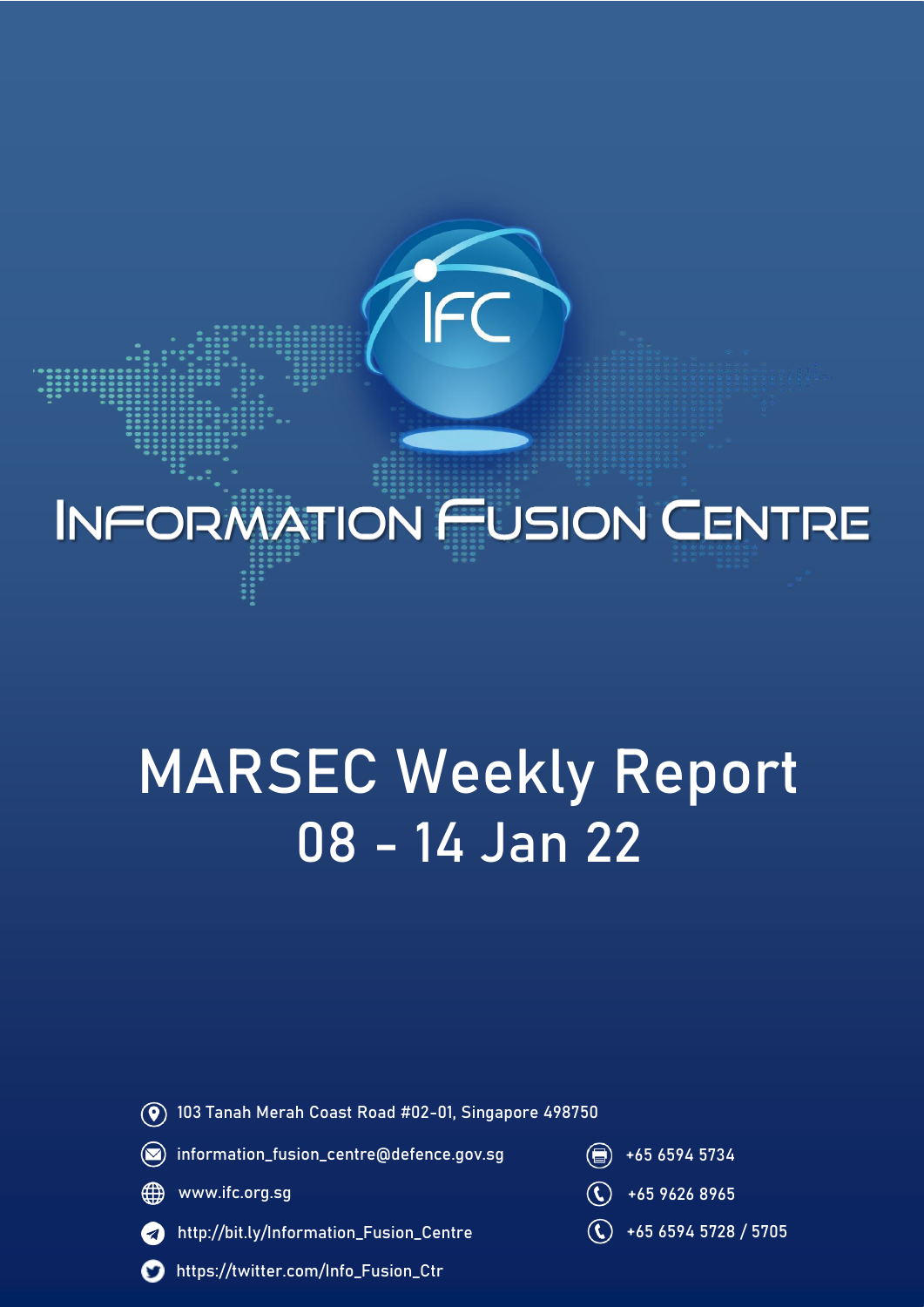# **INFORMATION FUSION CENTRE**

# MARSEC Weekly Report 08 - 14 Jan 22



103 Tanah Merah Coast Road #02-01, Singapore 498750



- ∰ www.ifc.org.sg
- http://bit.ly/Information\_Fusion\_Centre  $\overline{\mathcal{A}}$ 
	- https://twitter.com/Info\_Fusion\_Ctr
- 
- $\overline{1}$  +65 9626 8965
- +65 6594 5728 / 5705 $\mathbf{(t)}$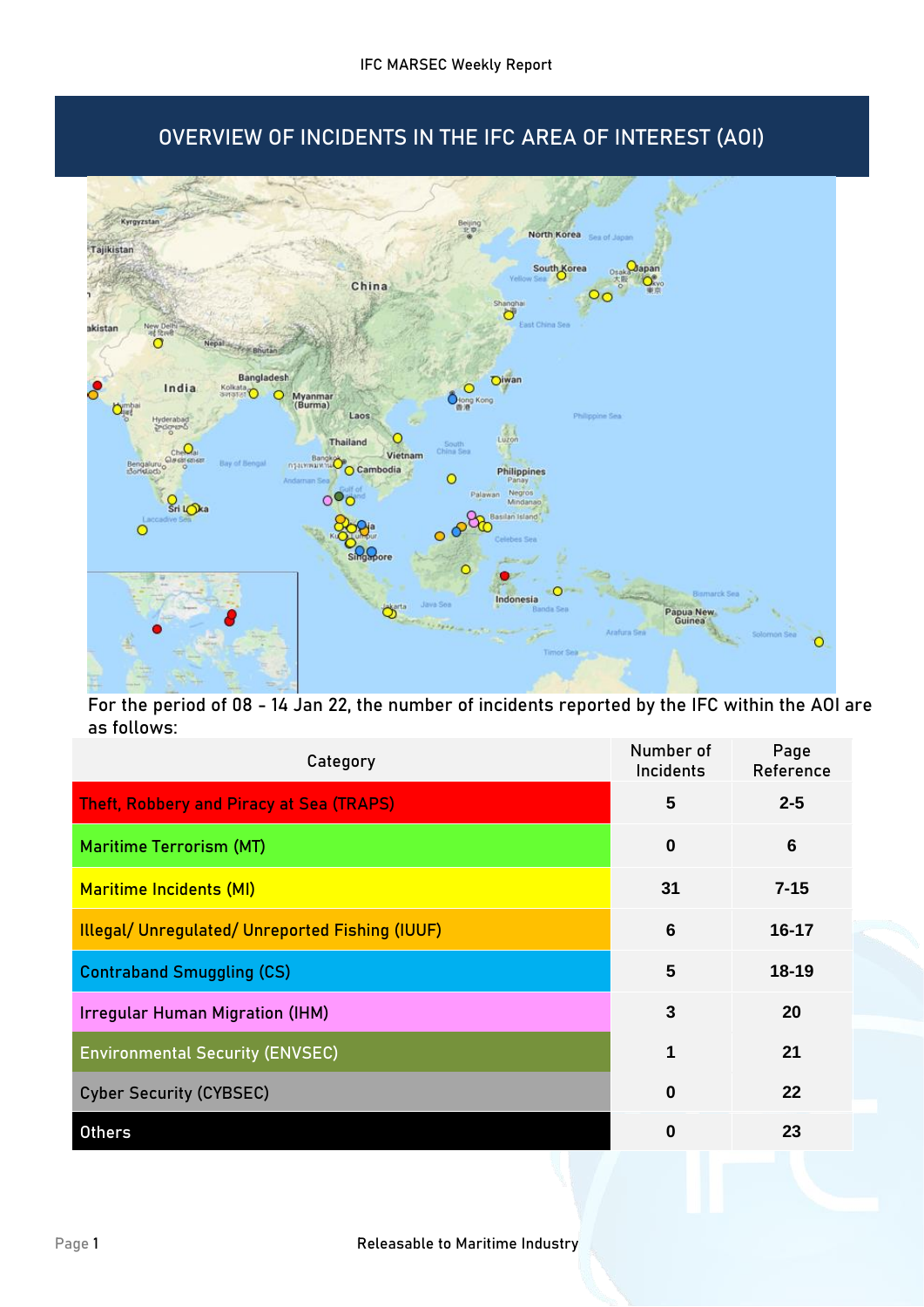# OVERVIEW OF INCIDENTS IN THE IFC AREA OF INTEREST (AOI)



For the period of 08 - 14 Jan 22, the number of incidents reported by the IFC within the AOI are as follows:

| Category                                               | Number of<br>Incidents | Page<br>Reference |
|--------------------------------------------------------|------------------------|-------------------|
| <b>Theft, Robbery and Piracy at Sea (TRAPS)</b>        | 5                      | $2 - 5$           |
| <b>Maritime Terrorism (MT)</b>                         | $\mathbf 0$            | 6                 |
| <b>Maritime Incidents (MI)</b>                         | 31                     | $7 - 15$          |
| <b>Illegal/ Unregulated/ Unreported Fishing (IUUF)</b> | $6\phantom{1}6$        | 16-17             |
| <b>Contraband Smuggling (CS)</b>                       | 5                      | $18 - 19$         |
| <b>Irregular Human Migration (IHM)</b>                 | 3                      | 20                |
| <b>Environmental Security (ENVSEC)</b>                 | 1                      | 21                |
| <b>Cyber Security (CYBSEC)</b>                         | $\bf{0}$               | 22                |
| <b>Others</b>                                          | $\bf{0}$               | 23                |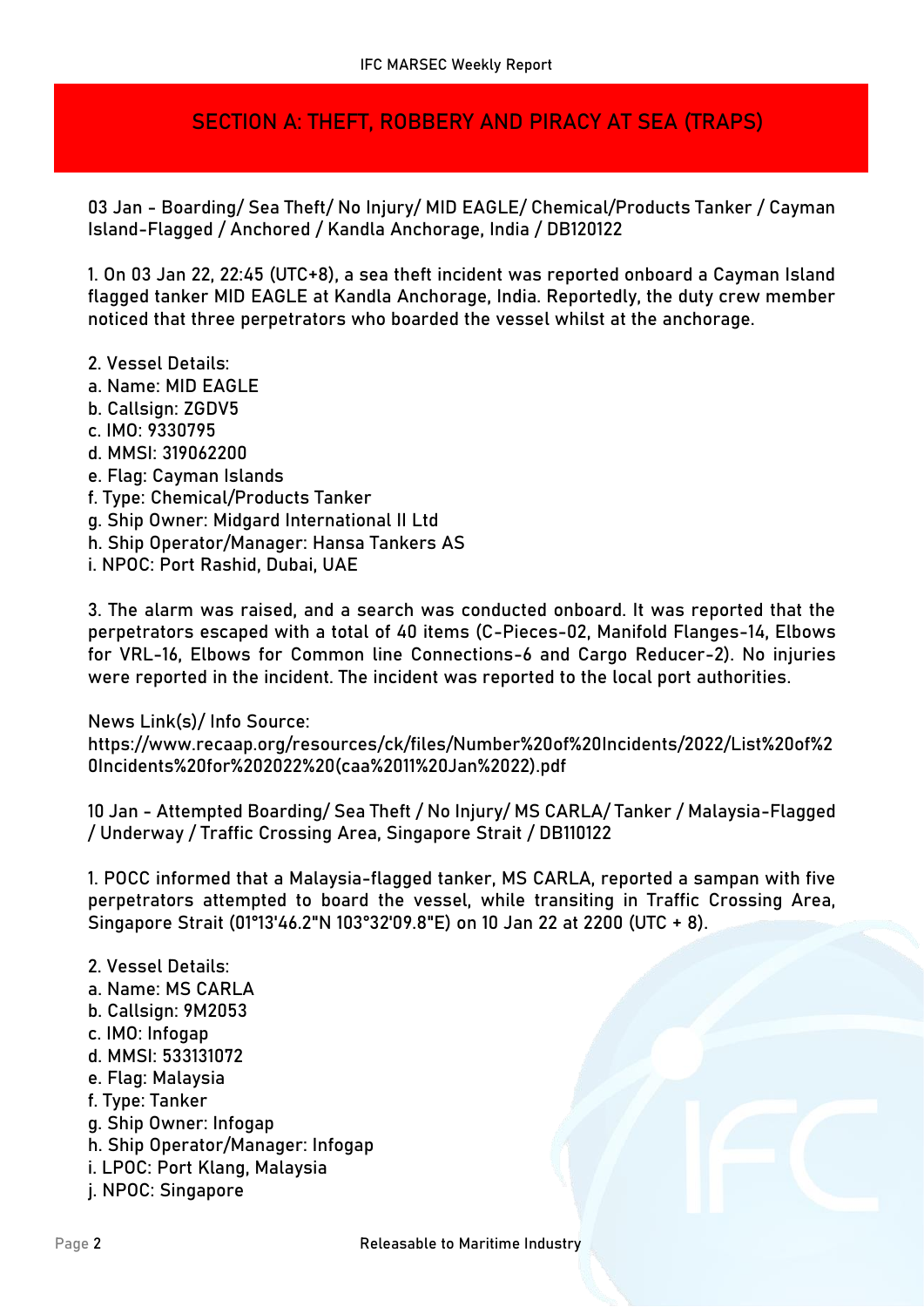## **SECTION A: THEFT, ROBBERY AND PIRACY AT SEA (TRAPS)**

**03 Jan - Boarding/ Sea Theft/ No Injury/ MID EAGLE/ Chemical/Products Tanker / Cayman Island-Flagged / Anchored / Kandla Anchorage, India / DB120122**

1. On 03 Jan 22, 22:45 (UTC+8), a sea theft incident was reported onboard a Cayman Island flagged tanker MID EAGLE at Kandla Anchorage, India. Reportedly, the duty crew member noticed that three perpetrators who boarded the vessel whilst at the anchorage.

- 2. Vessel Details:
- a. Name: MID EAGLE
- b. Callsign: ZGDV5
- c. IMO: 9330795
- d. MMSI: 319062200
- e. Flag: Cayman Islands
- f. Type: Chemical/Products Tanker
- g. Ship Owner: Midgard International II Ltd
- h. Ship Operator/Manager: Hansa Tankers AS
- i. NPOC: Port Rashid, Dubai, UAE

3. The alarm was raised, and a search was conducted onboard. It was reported that the perpetrators escaped with a total of 40 items (C-Pieces-02, Manifold Flanges-14, Elbows for VRL-16, Elbows for Common line Connections-6 and Cargo Reducer-2). No injuries were reported in the incident. The incident was reported to the local port authorities.

#### **News Link(s)/ Info Source:**

https://www.recaap.org/resources/ck/files/Number%20of%20Incidents/2022/List%20of%2 0Incidents%20for%202022%20(caa%2011%20Jan%2022).pdf

**10 Jan - Attempted Boarding/ Sea Theft / No Injury/ MS CARLA/ Tanker / Malaysia-Flagged / Underway / Traffic Crossing Area, Singapore Strait / DB110122**

1. POCC informed that a Malaysia-flagged tanker, MS CARLA, reported a sampan with five perpetrators attempted to board the vessel, while transiting in Traffic Crossing Area, Singapore Strait (01°13'46.2"N 103°32'09.8"E) on 10 Jan 22 at 2200 (UTC + 8).

#### 2. Vessel Details:

- a. Name: MS CARLA
- b. Callsign: 9M2053
- c. IMO: Infogap
- d. MMSI: 533131072
- e. Flag: Malaysia
- f. Type: Tanker
- g. Ship Owner: Infogap
- h. Ship Operator/Manager: Infogap
- i. LPOC: Port Klang, Malaysia
- j. NPOC: Singapore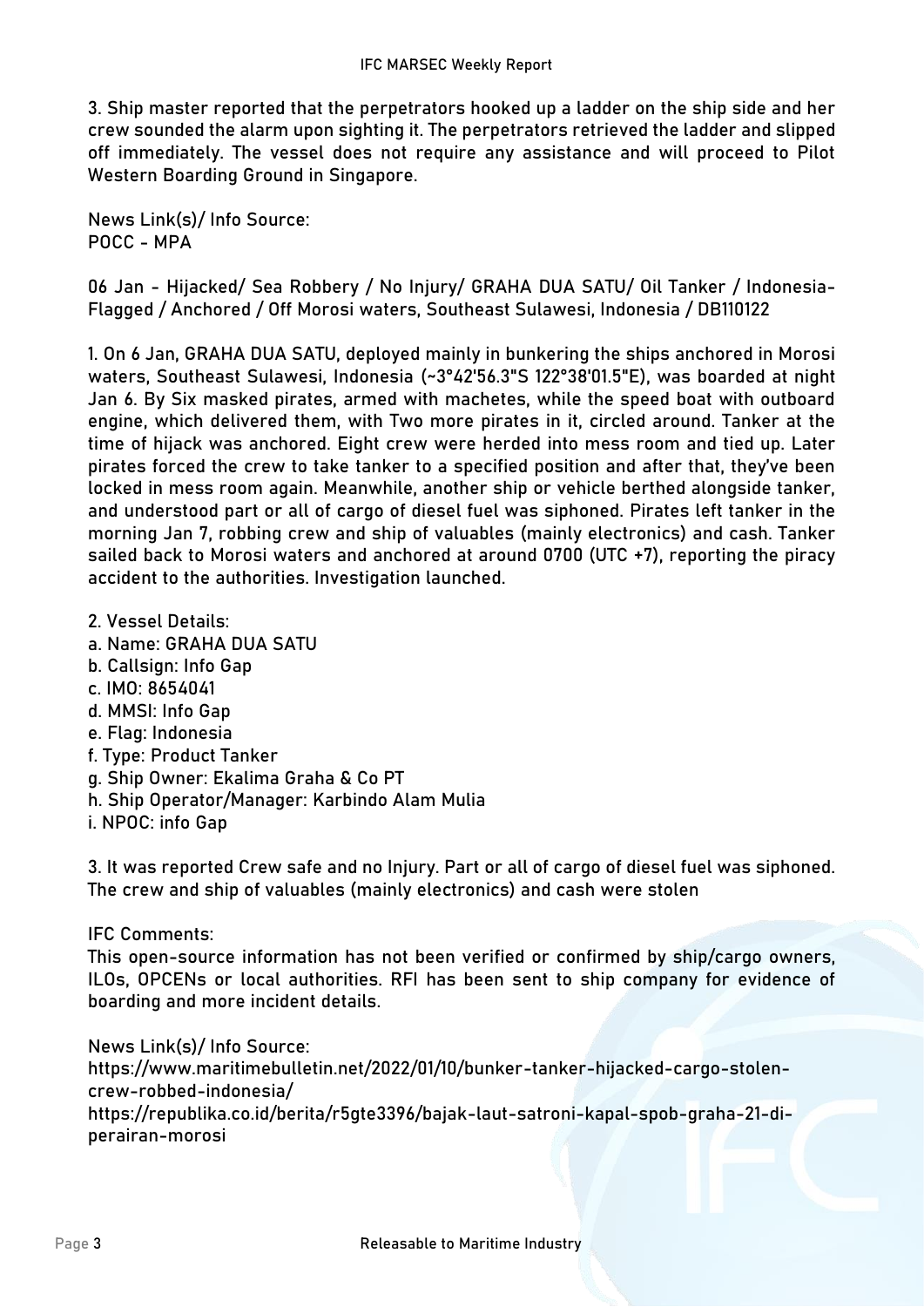3. Ship master reported that the perpetrators hooked up a ladder on the ship side and her crew sounded the alarm upon sighting it. The perpetrators retrieved the ladder and slipped off immediately. The vessel does not require any assistance and will proceed to Pilot Western Boarding Ground in Singapore.

**News Link(s)/ Info Source:** POCC - MPA

**06 Jan - Hijacked/ Sea Robbery / No Injury/ GRAHA DUA SATU/ Oil Tanker / Indonesia-Flagged / Anchored / Off Morosi waters, Southeast Sulawesi, Indonesia / DB110122**

1. On 6 Jan, GRAHA DUA SATU, deployed mainly in bunkering the ships anchored in Morosi waters, Southeast Sulawesi, Indonesia (~3°42'56.3"S 122°38'01.5"E), was boarded at night Jan 6. By Six masked pirates, armed with machetes, while the speed boat with outboard engine, which delivered them, with Two more pirates in it, circled around. Tanker at the time of hijack was anchored. Eight crew were herded into mess room and tied up. Later pirates forced the crew to take tanker to a specified position and after that, they've been locked in mess room again. Meanwhile, another ship or vehicle berthed alongside tanker, and understood part or all of cargo of diesel fuel was siphoned. Pirates left tanker in the morning Jan 7, robbing crew and ship of valuables (mainly electronics) and cash. Tanker sailed back to Morosi waters and anchored at around 0700 (UTC +7), reporting the piracy accident to the authorities. Investigation launched.

- 2. Vessel Details:
- a. Name: GRAHA DUA SATU
- b. Callsign: Info Gap
- c. IMO: 8654041
- d. MMSI: Info Gap
- e. Flag: Indonesia
- f. Type: Product Tanker
- g. Ship Owner: Ekalima Graha & Co PT
- h. Ship Operator/Manager: Karbindo Alam Mulia
- i. NPOC: info Gap

3. It was reported Crew safe and no Injury. Part or all of cargo of diesel fuel was siphoned. The crew and ship of valuables (mainly electronics) and cash were stolen

**IFC Comments:**

This open-source information has not been verified or confirmed by ship/cargo owners, ILOs, OPCENs or local authorities. RFI has been sent to ship company for evidence of boarding and more incident details.

**News Link(s)/ Info Source:** https://www.maritimebulletin.net/2022/01/10/bunker-tanker-hijacked-cargo-stolencrew-robbed-indonesia/ https://republika.co.id/berita/r5gte3396/bajak-laut-satroni-kapal-spob-graha-21-diperairan-morosi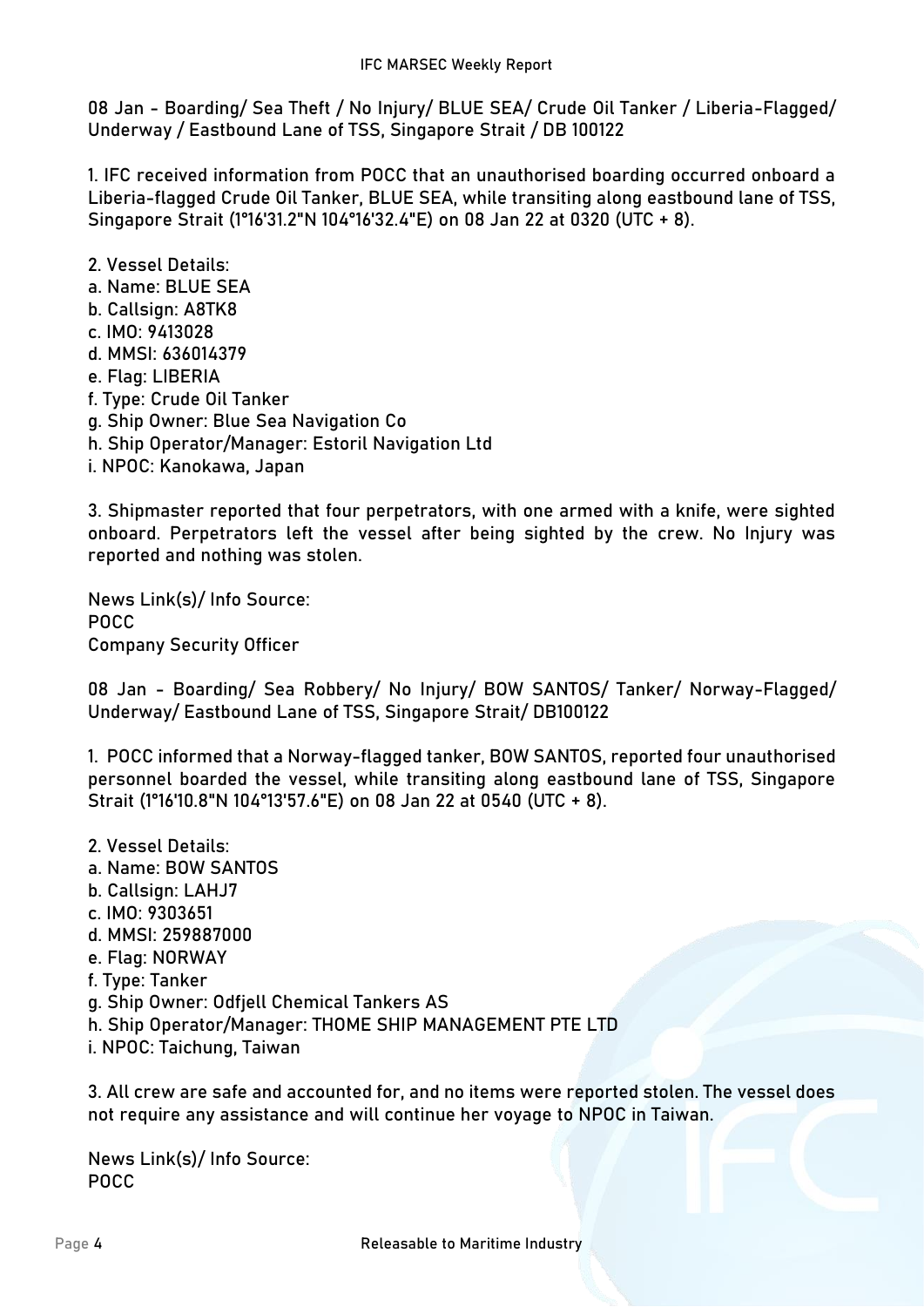**08 Jan - Boarding/ Sea Theft / No Injury/ BLUE SEA/ Crude Oil Tanker / Liberia-Flagged/ Underway / Eastbound Lane of TSS, Singapore Strait / DB 100122**

1. IFC received information from POCC that an unauthorised boarding occurred onboard a Liberia-flagged Crude Oil Tanker, BLUE SEA, while transiting along eastbound lane of TSS, Singapore Strait (1°16'31.2"N 104°16'32.4"E) on 08 Jan 22 at 0320 (UTC + 8).

2. Vessel Details: a. Name: BLUE SEA b. Callsign: A8TK8 c. IMO: 9413028 d. MMSI: 636014379 e. Flag: LIBERIA f. Type: Crude Oil Tanker g. Ship Owner: Blue Sea Navigation Co h. Ship Operator/Manager: Estoril Navigation Ltd i. NPOC: Kanokawa, Japan

3. Shipmaster reported that four perpetrators, with one armed with a knife, were sighted onboard. Perpetrators left the vessel after being sighted by the crew. No Injury was reported and nothing was stolen.

**News Link(s)/ Info Source:** POCC Company Security Officer

**08 Jan - Boarding/ Sea Robbery/ No Injury/ BOW SANTOS/ Tanker/ Norway-Flagged/ Underway/ Eastbound Lane of TSS, Singapore Strait/ DB100122**

1. POCC informed that a Norway-flagged tanker, BOW SANTOS, reported four unauthorised personnel boarded the vessel, while transiting along eastbound lane of TSS, Singapore Strait (1°16'10.8"N 104°13'57.6"E) on 08 Jan 22 at 0540 (UTC + 8).

- 2. Vessel Details:
- a. Name: BOW SANTOS
- b. Callsign: LAHJ7
- c. IMO: 9303651
- d. MMSI: 259887000
- e. Flag: NORWAY
- f. Type: Tanker
- g. Ship Owner: Odfjell Chemical Tankers AS
- h. Ship Operator/Manager: THOME SHIP MANAGEMENT PTE LTD
- i. NPOC: Taichung, Taiwan

3. All crew are safe and accounted for, and no items were reported stolen. The vessel does not require any assistance and will continue her voyage to NPOC in Taiwan.

**News Link(s)/ Info Source:** POCC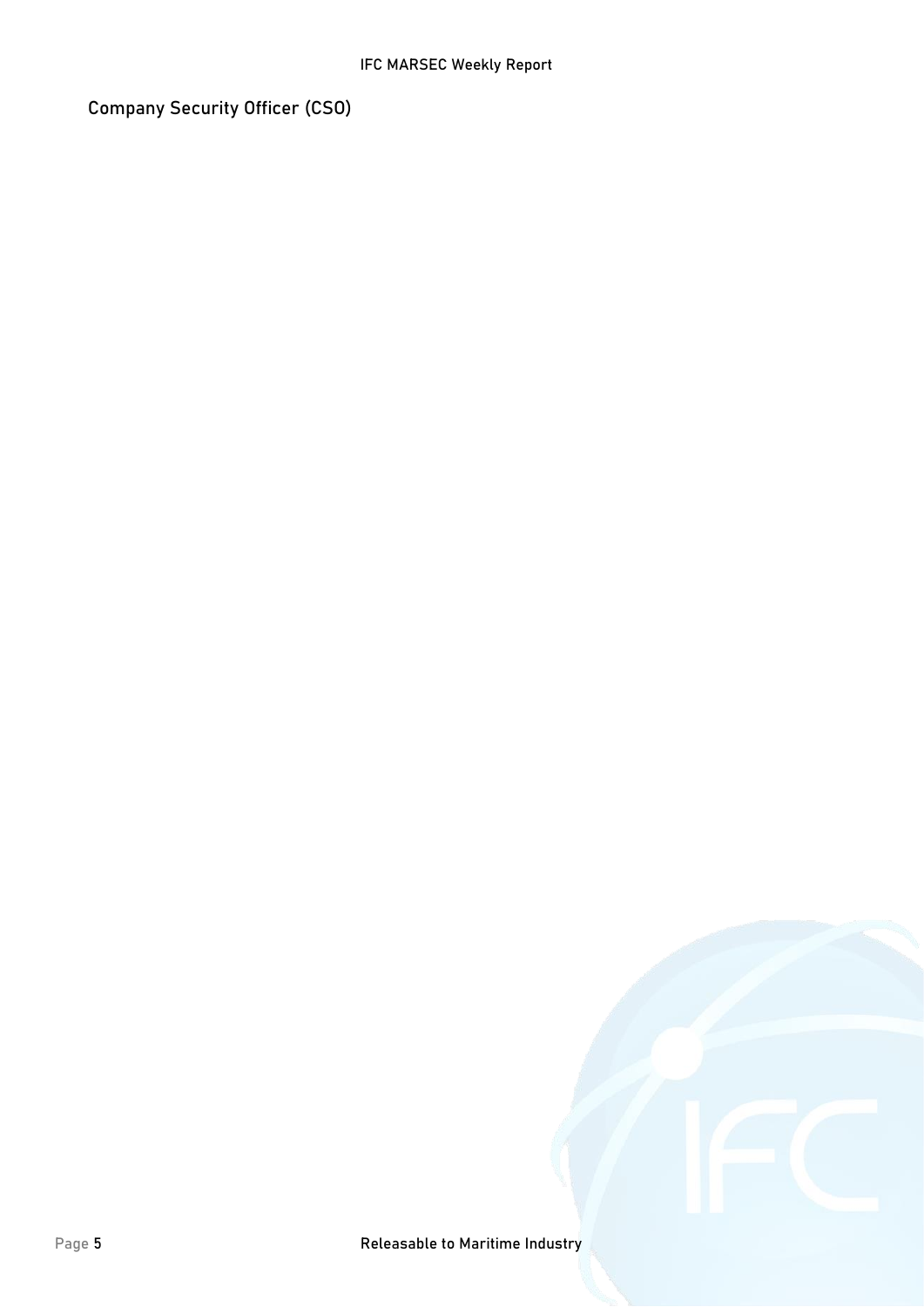Company Security Officer (CSO)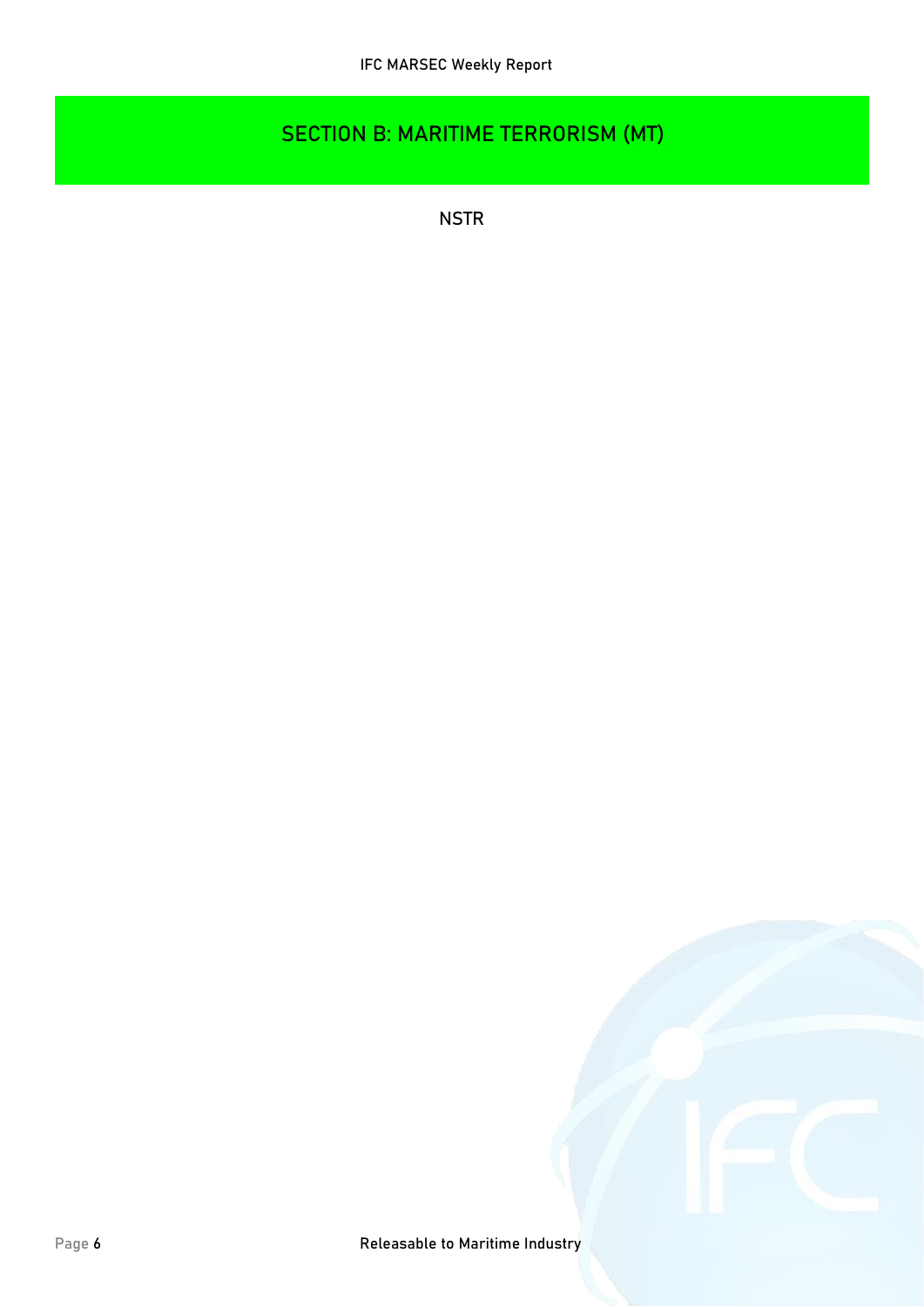# **SECTION B: MARITIME TERRORISM (MT)**

**NSTR**

Page 6 *Releasable to Maritime Industry*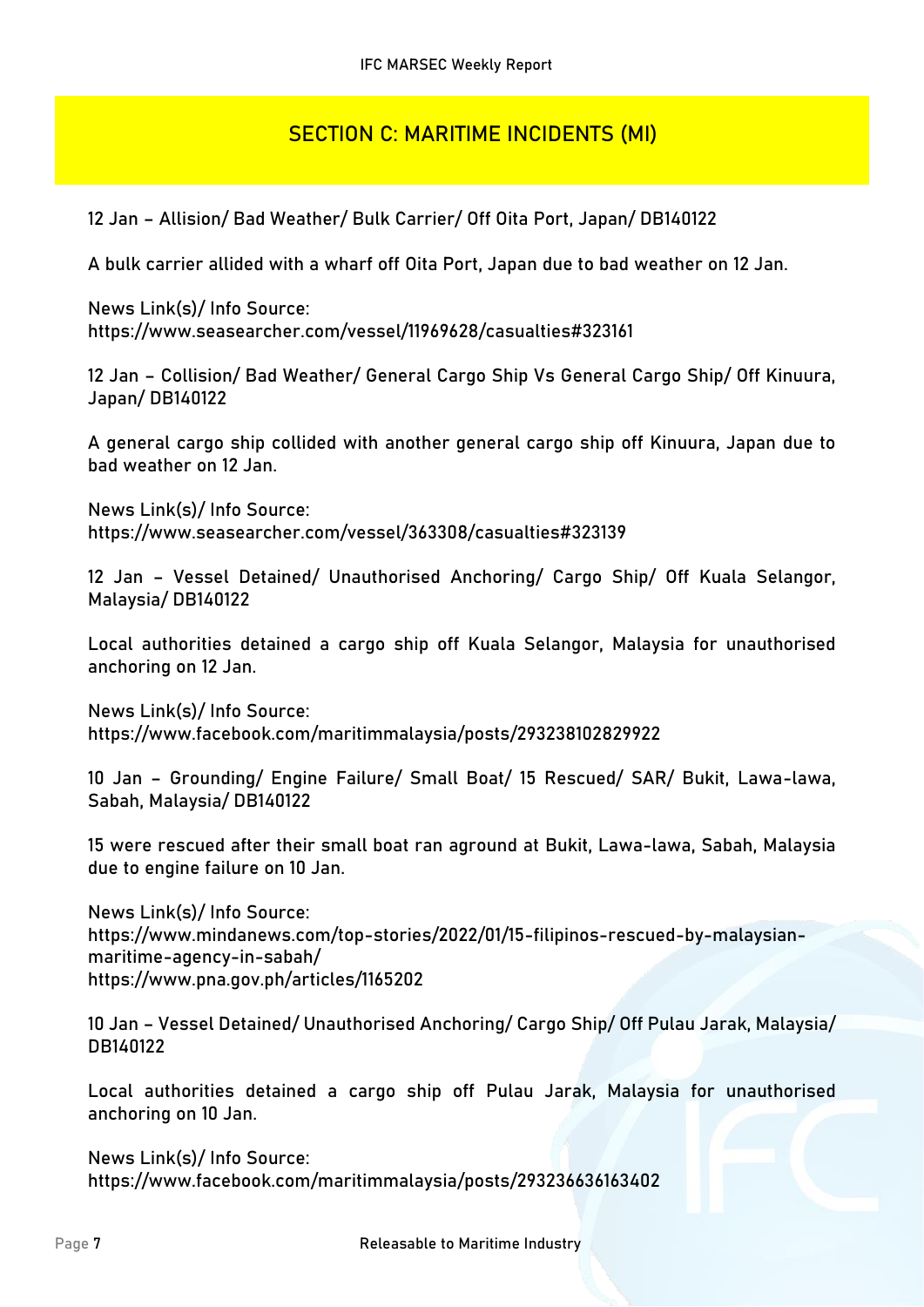## **SECTION C: MARITIME INCIDENTS (MI)**

**12 Jan – Allision/ Bad Weather/ Bulk Carrier/ Off Oita Port, Japan/ DB140122**

A bulk carrier allided with a wharf off Oita Port, Japan due to bad weather on 12 Jan.

**News Link(s)/ Info Source:** https://www.seasearcher.com/vessel/11969628/casualties#323161

**12 Jan – Collision/ Bad Weather/ General Cargo Ship Vs General Cargo Ship/ Off Kinuura, Japan/ DB140122**

A general cargo ship collided with another general cargo ship off Kinuura, Japan due to bad weather on 12 Jan.

**News Link(s)/ Info Source:** https://www.seasearcher.com/vessel/363308/casualties#323139

**12 Jan – Vessel Detained/ Unauthorised Anchoring/ Cargo Ship/ Off Kuala Selangor, Malaysia/ DB140122**

Local authorities detained a cargo ship off Kuala Selangor, Malaysia for unauthorised anchoring on 12 Jan.

**News Link(s)/ Info Source:** https://www.facebook.com/maritimmalaysia/posts/293238102829922

**10 Jan – Grounding/ Engine Failure/ Small Boat/ 15 Rescued/ SAR/ Bukit, Lawa-lawa, Sabah, Malaysia/ DB140122**

15 were rescued after their small boat ran aground at Bukit, Lawa-lawa, Sabah, Malaysia due to engine failure on 10 Jan.

**News Link(s)/ Info Source:** https://www.mindanews.com/top-stories/2022/01/15-filipinos-rescued-by-malaysianmaritime-agency-in-sabah/ https://www.pna.gov.ph/articles/1165202

**10 Jan – Vessel Detained/ Unauthorised Anchoring/ Cargo Ship/ Off Pulau Jarak, Malaysia/ DB140122**

Local authorities detained a cargo ship off Pulau Jarak, Malaysia for unauthorised anchoring on 10 Jan.

**News Link(s)/ Info Source:** https://www.facebook.com/maritimmalaysia/posts/293236636163402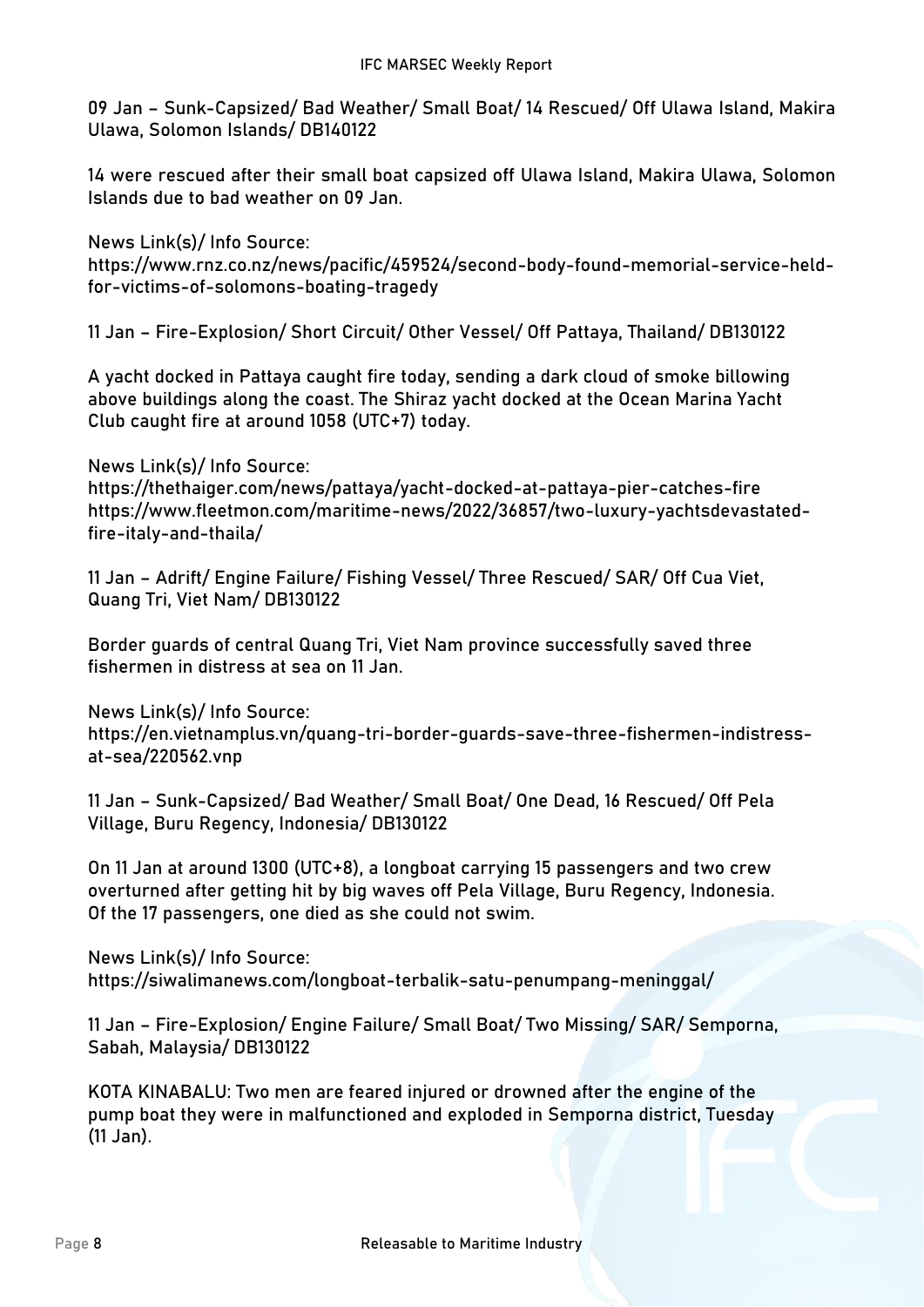**09 Jan – Sunk-Capsized/ Bad Weather/ Small Boat/ 14 Rescued/ Off Ulawa Island, Makira Ulawa, Solomon Islands/ DB140122**

14 were rescued after their small boat capsized off Ulawa Island, Makira Ulawa, Solomon Islands due to bad weather on 09 Jan.

**News Link(s)/ Info Source:** https://www.rnz.co.nz/news/pacific/459524/second-body-found-memorial-service-heldfor-victims-of-solomons-boating-tragedy

**11 Jan – Fire-Explosion/ Short Circuit/ Other Vessel/ Off Pattaya, Thailand/ DB130122**

A yacht docked in Pattaya caught fire today, sending a dark cloud of smoke billowing above buildings along the coast. The Shiraz yacht docked at the Ocean Marina Yacht Club caught fire at around 1058 (UTC+7) today.

**News Link(s)/ Info Source:** https://thethaiger.com/news/pattaya/yacht-docked-at-pattaya-pier-catches-fire https://www.fleetmon.com/maritime-news/2022/36857/two-luxury-yachtsdevastatedfire-italy-and-thaila/

**11 Jan – Adrift/ Engine Failure/ Fishing Vessel/ Three Rescued/ SAR/ Off Cua Viet, Quang Tri, Viet Nam/ DB130122**

Border guards of central Quang Tri, Viet Nam province successfully saved three fishermen in distress at sea on 11 Jan.

**News Link(s)/ Info Source:** https://en.vietnamplus.vn/quang-tri-border-guards-save-three-fishermen-indistressat-sea/220562.vnp

**11 Jan – Sunk-Capsized/ Bad Weather/ Small Boat/ One Dead, 16 Rescued/ Off Pela Village, Buru Regency, Indonesia/ DB130122**

On 11 Jan at around 1300 (UTC+8), a longboat carrying 15 passengers and two crew overturned after getting hit by big waves off Pela Village, Buru Regency, Indonesia. Of the 17 passengers, one died as she could not swim.

**News Link(s)/ Info Source:** https://siwalimanews.com/longboat-terbalik-satu-penumpang-meninggal/

**11 Jan – Fire-Explosion/ Engine Failure/ Small Boat/ Two Missing/ SAR/ Semporna, Sabah, Malaysia/ DB130122**

KOTA KINABALU: Two men are feared injured or drowned after the engine of the pump boat they were in malfunctioned and exploded in Semporna district, Tuesday (11 Jan).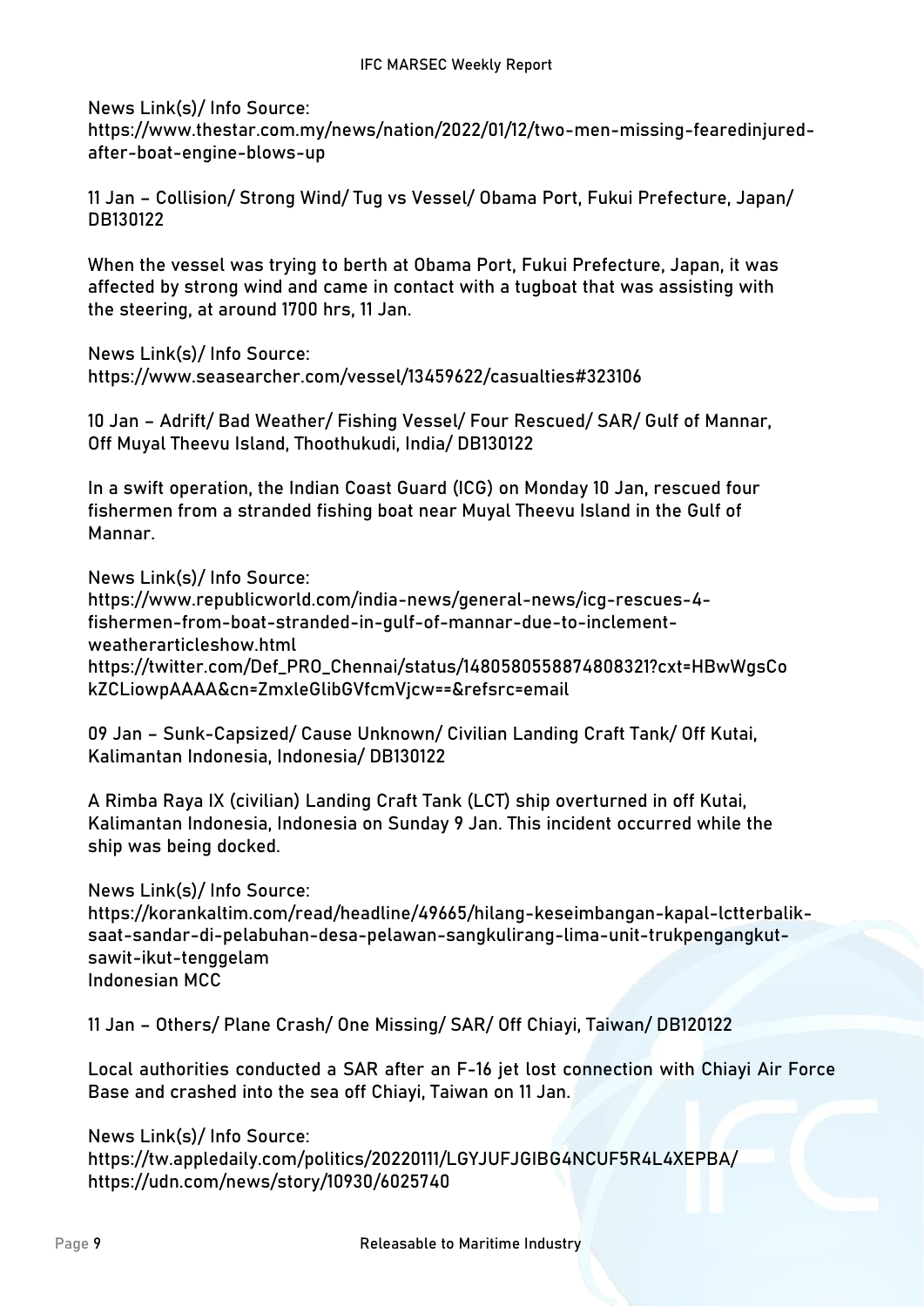**News Link(s)/ Info Source:**

https://www.thestar.com.my/news/nation/2022/01/12/two-men-missing-fearedinjuredafter-boat-engine-blows-up

**11 Jan – Collision/ Strong Wind/ Tug vs Vessel/ Obama Port, Fukui Prefecture, Japan/ DB130122**

When the vessel was trying to berth at Obama Port, Fukui Prefecture, Japan, it was affected by strong wind and came in contact with a tugboat that was assisting with the steering, at around 1700 hrs, 11 Jan.

**News Link(s)/ Info Source:**

https://www.seasearcher.com/vessel/13459622/casualties#323106

**10 Jan – Adrift/ Bad Weather/ Fishing Vessel/ Four Rescued/ SAR/ Gulf of Mannar, Off Muyal Theevu Island, Thoothukudi, India/ DB130122**

In a swift operation, the Indian Coast Guard (ICG) on Monday 10 Jan, rescued four fishermen from a stranded fishing boat near Muyal Theevu Island in the Gulf of Mannar.

**News Link(s)/ Info Source:** https://www.republicworld.com/india-news/general-news/icg-rescues-4 fishermen-from-boat-stranded-in-gulf-of-mannar-due-to-inclementweatherarticleshow.html https://twitter.com/Def\_PRO\_Chennai/status/1480580558874808321?cxt=HBwWgsCo kZCLiowpAAAA&cn=ZmxleGlibGVfcmVjcw==&refsrc=email

**09 Jan – Sunk-Capsized/ Cause Unknown/ Civilian Landing Craft Tank/ Off Kutai, Kalimantan Indonesia, Indonesia/ DB130122**

A Rimba Raya IX (civilian) Landing Craft Tank (LCT) ship overturned in off Kutai, Kalimantan Indonesia, Indonesia on Sunday 9 Jan. This incident occurred while the ship was being docked.

**News Link(s)/ Info Source:**

https://korankaltim.com/read/headline/49665/hilang-keseimbangan-kapal-lctterbaliksaat-sandar-di-pelabuhan-desa-pelawan-sangkulirang-lima-unit-trukpengangkutsawit-ikut-tenggelam Indonesian MCC

**11 Jan – Others/ Plane Crash/ One Missing/ SAR/ Off Chiayi, Taiwan/ DB120122**

Local authorities conducted a SAR after an F-16 jet lost connection with Chiayi Air Force Base and crashed into the sea off Chiayi, Taiwan on 11 Jan.

**News Link(s)/ Info Source:**

https://tw.appledaily.com/politics/20220111/LGYJUFJGIBG4NCUF5R4L4XEPBA/ https://udn.com/news/story/10930/6025740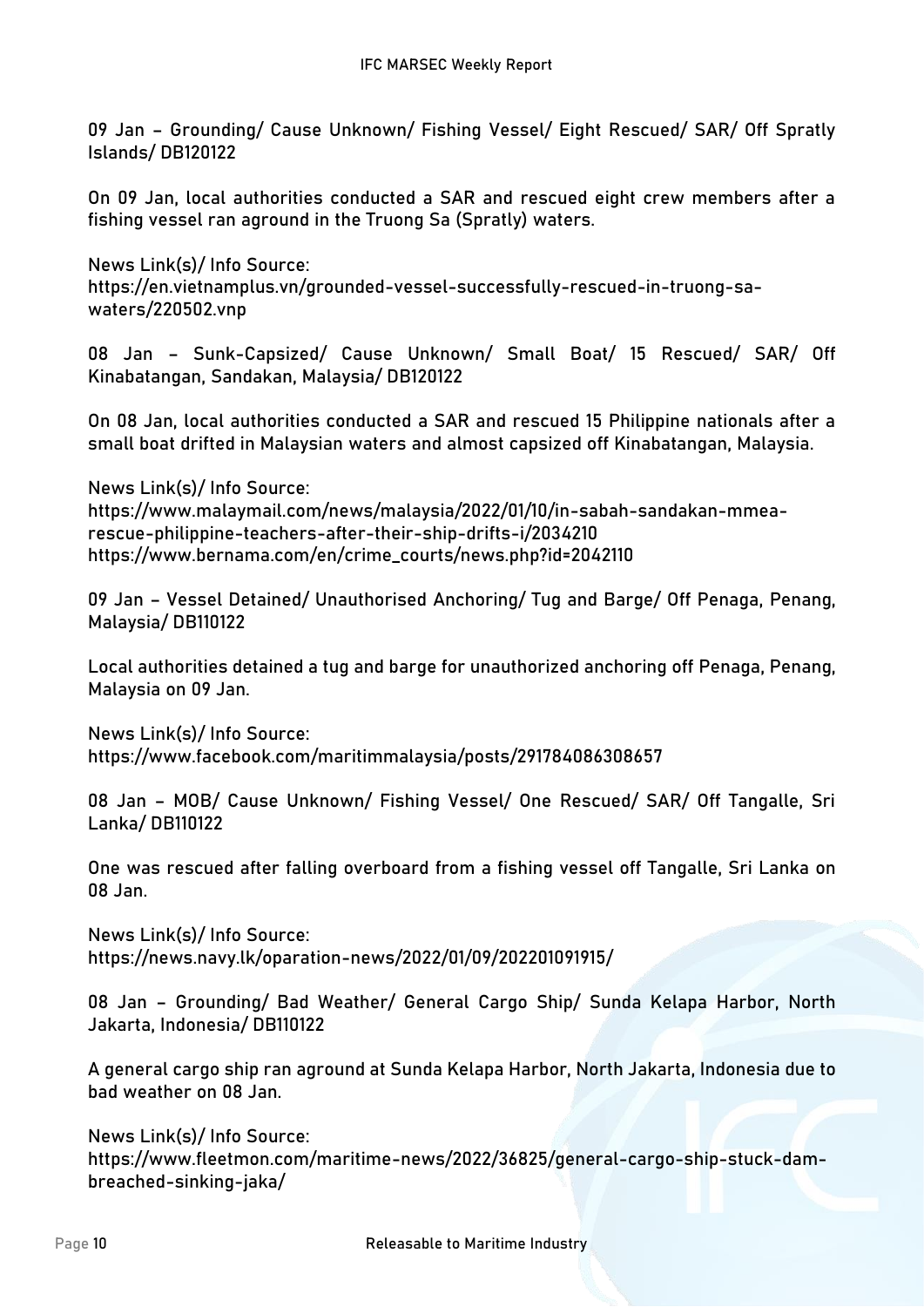**09 Jan – Grounding/ Cause Unknown/ Fishing Vessel/ Eight Rescued/ SAR/ Off Spratly Islands/ DB120122**

On 09 Jan, local authorities conducted a SAR and rescued eight crew members after a fishing vessel ran aground in the Truong Sa (Spratly) waters.

**News Link(s)/ Info Source:** https://en.vietnamplus.vn/grounded-vessel-successfully-rescued-in-truong-sawaters/220502.vnp

**08 Jan – Sunk-Capsized/ Cause Unknown/ Small Boat/ 15 Rescued/ SAR/ Off Kinabatangan, Sandakan, Malaysia/ DB120122**

On 08 Jan, local authorities conducted a SAR and rescued 15 Philippine nationals after a small boat drifted in Malaysian waters and almost capsized off Kinabatangan, Malaysia.

**News Link(s)/ Info Source:** https://www.malaymail.com/news/malaysia/2022/01/10/in-sabah-sandakan-mmearescue-philippine-teachers-after-their-ship-drifts-i/2034210 https://www.bernama.com/en/crime\_courts/news.php?id=2042110

**09 Jan – Vessel Detained/ Unauthorised Anchoring/ Tug and Barge/ Off Penaga, Penang, Malaysia/ DB110122**

Local authorities detained a tug and barge for unauthorized anchoring off Penaga, Penang, Malaysia on 09 Jan.

**News Link(s)/ Info Source:** https://www.facebook.com/maritimmalaysia/posts/291784086308657

**08 Jan – MOB/ Cause Unknown/ Fishing Vessel/ One Rescued/ SAR/ Off Tangalle, Sri Lanka/ DB110122**

One was rescued after falling overboard from a fishing vessel off Tangalle, Sri Lanka on 08 Jan.

**News Link(s)/ Info Source:** https://news.navy.lk/oparation-news/2022/01/09/202201091915/

**08 Jan – Grounding/ Bad Weather/ General Cargo Ship/ Sunda Kelapa Harbor, North Jakarta, Indonesia/ DB110122**

A general cargo ship ran aground at Sunda Kelapa Harbor, North Jakarta, Indonesia due to bad weather on 08 Jan.

**News Link(s)/ Info Source:** https://www.fleetmon.com/maritime-news/2022/36825/general-cargo-ship-stuck-dambreached-sinking-jaka/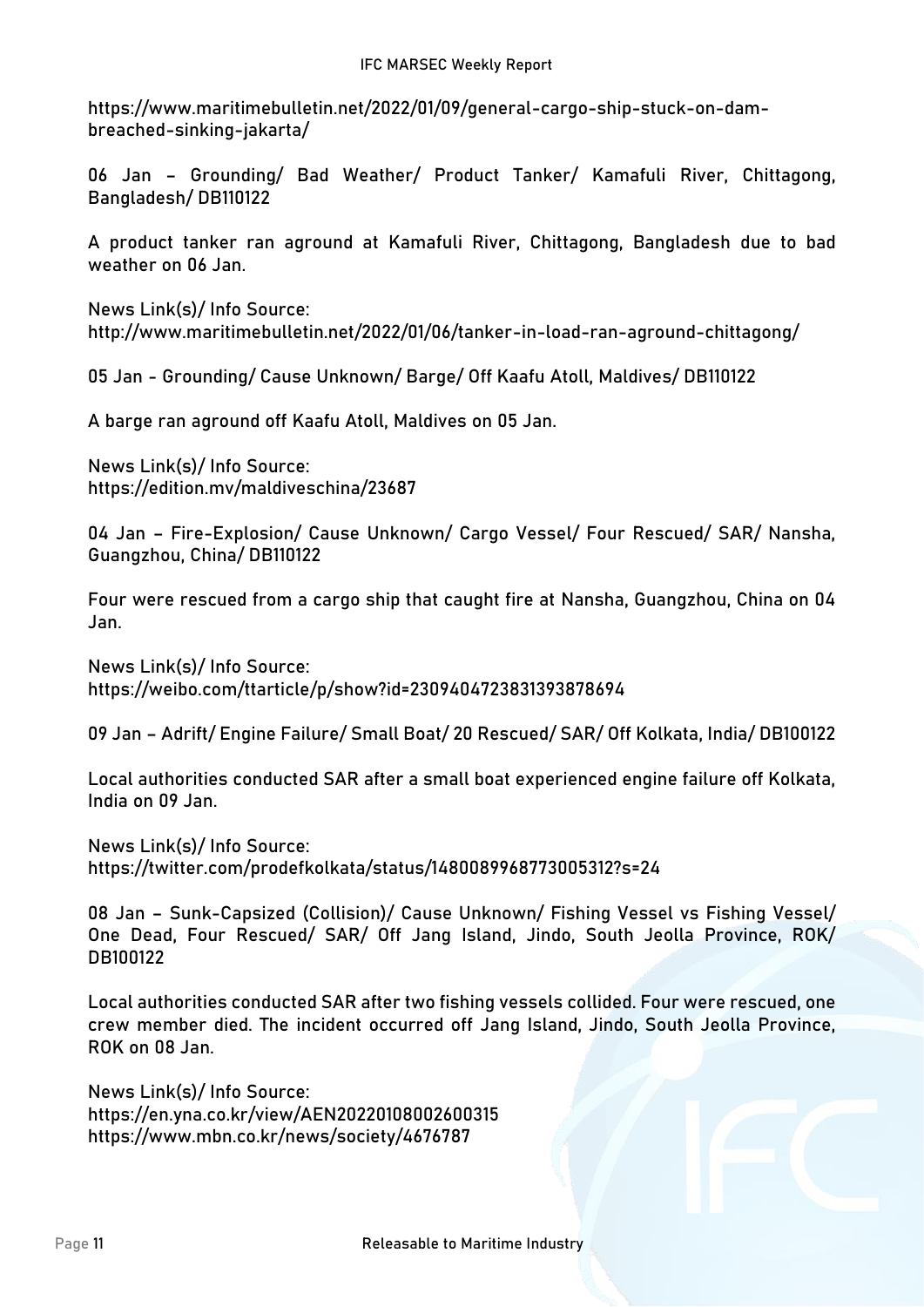https://www.maritimebulletin.net/2022/01/09/general-cargo-ship-stuck-on-dambreached-sinking-jakarta/

**06 Jan – Grounding/ Bad Weather/ Product Tanker/ Kamafuli River, Chittagong, Bangladesh/ DB110122**

A product tanker ran aground at Kamafuli River, Chittagong, Bangladesh due to bad weather on 06 Jan.

**News Link(s)/ Info Source:** http://www.maritimebulletin.net/2022/01/06/tanker-in-load-ran-aground-chittagong/

**05 Jan - Grounding/ Cause Unknown/ Barge/ Off Kaafu Atoll, Maldives/ DB110122**

A barge ran aground off Kaafu Atoll, Maldives on 05 Jan.

**News Link(s)/ Info Source:** https://edition.mv/maldiveschina/23687

**04 Jan – Fire-Explosion/ Cause Unknown/ Cargo Vessel/ Four Rescued/ SAR/ Nansha, Guangzhou, China/ DB110122**

Four were rescued from a cargo ship that caught fire at Nansha, Guangzhou, China on 04 Jan.

**News Link(s)/ Info Source:** https://weibo.com/ttarticle/p/show?id=2309404723831393878694

**09 Jan – Adrift/ Engine Failure/ Small Boat/ 20 Rescued/ SAR/ Off Kolkata, India/ DB100122**

Local authorities conducted SAR after a small boat experienced engine failure off Kolkata, India on 09 Jan.

**News Link(s)/ Info Source:** https://twitter.com/prodefkolkata/status/1480089968773005312?s=24

**08 Jan – Sunk-Capsized (Collision)/ Cause Unknown/ Fishing Vessel vs Fishing Vessel/ One Dead, Four Rescued/ SAR/ Off Jang Island, Jindo, South Jeolla Province, ROK/ DB100122**

Local authorities conducted SAR after two fishing vessels collided. Four were rescued, one crew member died. The incident occurred off Jang Island, Jindo, South Jeolla Province, ROK on 08 Jan.

**News Link(s)/ Info Source:** https://en.yna.co.kr/view/AEN20220108002600315 https://www.mbn.co.kr/news/society/4676787

Page 11Releasable to Maritime Industry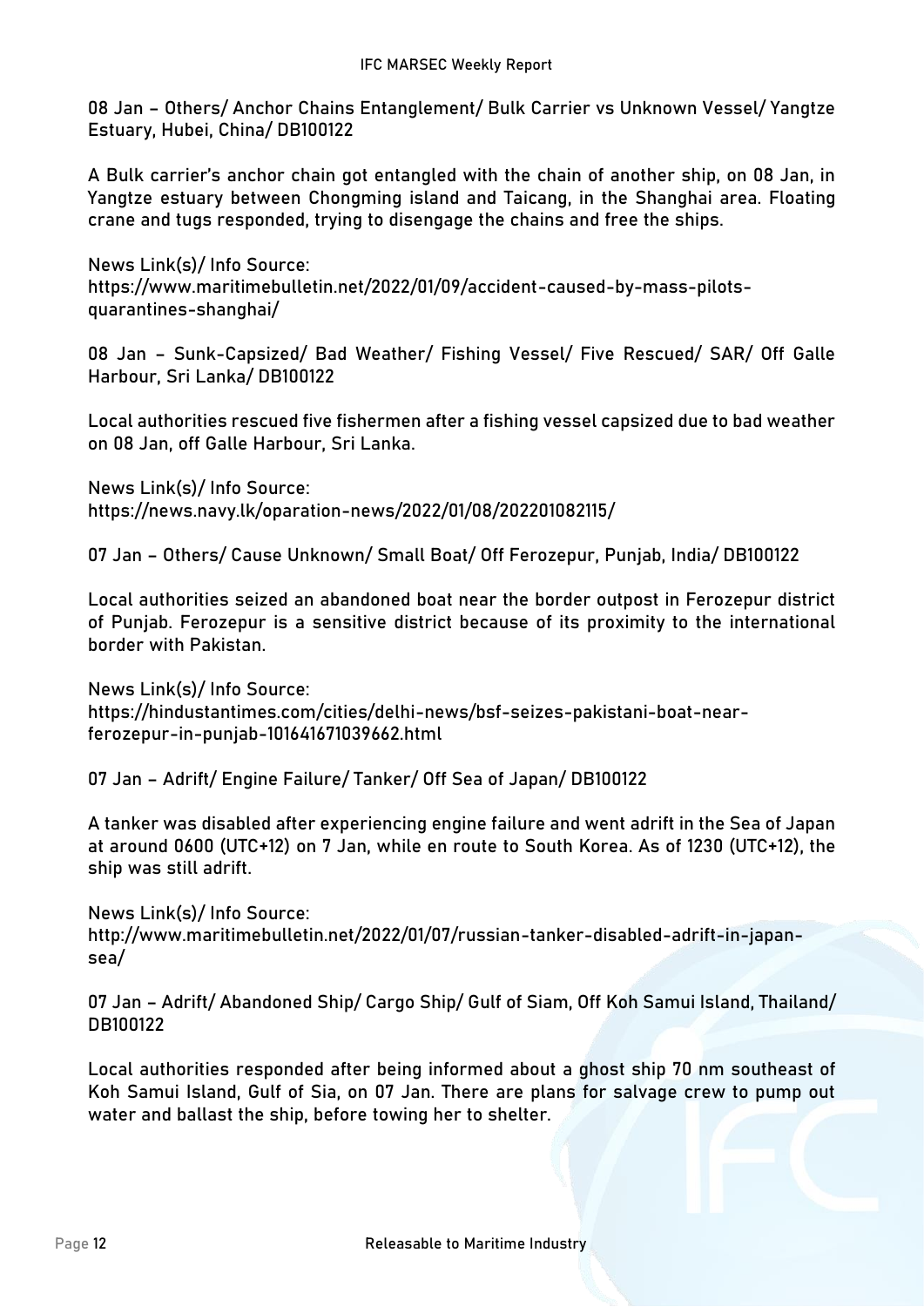**08 Jan – Others/ Anchor Chains Entanglement/ Bulk Carrier vs Unknown Vessel/ Yangtze Estuary, Hubei, China/ DB100122**

A Bulk carrier's anchor chain got entangled with the chain of another ship, on 08 Jan, in Yangtze estuary between Chongming island and Taicang, in the Shanghai area. Floating crane and tugs responded, trying to disengage the chains and free the ships.

**News Link(s)/ Info Source:** https://www.maritimebulletin.net/2022/01/09/accident-caused-by-mass-pilotsquarantines-shanghai/

**08 Jan – Sunk-Capsized/ Bad Weather/ Fishing Vessel/ Five Rescued/ SAR/ Off Galle Harbour, Sri Lanka/ DB100122**

Local authorities rescued five fishermen after a fishing vessel capsized due to bad weather on 08 Jan, off Galle Harbour, Sri Lanka.

**News Link(s)/ Info Source:** https://news.navy.lk/oparation-news/2022/01/08/202201082115/

**07 Jan – Others/ Cause Unknown/ Small Boat/ Off Ferozepur, Punjab, India/ DB100122**

Local authorities seized an abandoned boat near the border outpost in Ferozepur district of Punjab. Ferozepur is a sensitive district because of its proximity to the international border with Pakistan.

**News Link(s)/ Info Source:** https://hindustantimes.com/cities/delhi-news/bsf-seizes-pakistani-boat-nearferozepur-in-punjab-101641671039662.html

**07 Jan – Adrift/ Engine Failure/ Tanker/ Off Sea of Japan/ DB100122**

A tanker was disabled after experiencing engine failure and went adrift in the Sea of Japan at around 0600 (UTC+12) on 7 Jan, while en route to South Korea. As of 1230 (UTC+12), the ship was still adrift.

**News Link(s)/ Info Source:** http://www.maritimebulletin.net/2022/01/07/russian-tanker-disabled-adrift-in-japansea/

**07 Jan – Adrift/ Abandoned Ship/ Cargo Ship/ Gulf of Siam, Off Koh Samui Island, Thailand/ DB100122**

Local authorities responded after being informed about a ghost ship 70 nm southeast of Koh Samui Island, Gulf of Sia, on 07 Jan. There are plans for salvage crew to pump out water and ballast the ship, before towing her to shelter.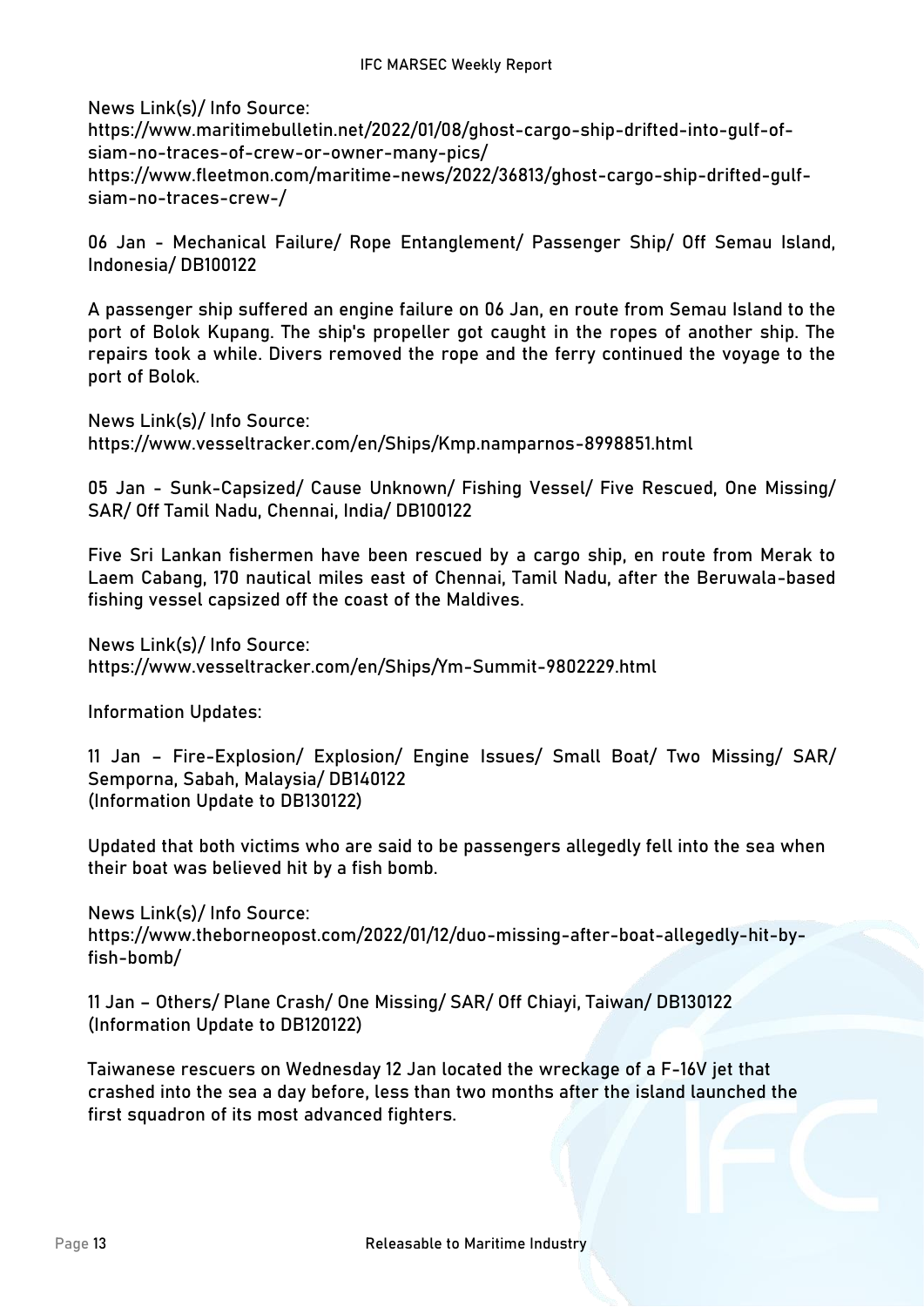**News Link(s)/ Info Source:**

https://www.maritimebulletin.net/2022/01/08/ghost-cargo-ship-drifted-into-gulf-ofsiam-no-traces-of-crew-or-owner-many-pics/ https://www.fleetmon.com/maritime-news/2022/36813/ghost-cargo-ship-drifted-gulfsiam-no-traces-crew-/

**06 Jan - Mechanical Failure/ Rope Entanglement/ Passenger Ship/ Off Semau Island, Indonesia/ DB100122**

A passenger ship suffered an engine failure on 06 Jan, en route from Semau Island to the port of Bolok Kupang. The ship's propeller got caught in the ropes of another ship. The repairs took a while. Divers removed the rope and the ferry continued the voyage to the port of Bolok.

**News Link(s)/ Info Source:** https://www.vesseltracker.com/en/Ships/Kmp.namparnos-8998851.html

**05 Jan - Sunk-Capsized/ Cause Unknown/ Fishing Vessel/ Five Rescued, One Missing/ SAR/ Off Tamil Nadu, Chennai, India/ DB100122**

Five Sri Lankan fishermen have been rescued by a cargo ship, en route from Merak to Laem Cabang, 170 nautical miles east of Chennai, Tamil Nadu, after the Beruwala-based fishing vessel capsized off the coast of the Maldives.

**News Link(s)/ Info Source:** https://www.vesseltracker.com/en/Ships/Ym-Summit-9802229.html

**Information Updates:**

**11 Jan – Fire-Explosion/ Explosion/ Engine Issues/ Small Boat/ Two Missing/ SAR/ Semporna, Sabah, Malaysia/ DB140122 (Information Update to DB130122)**

Updated that both victims who are said to be passengers allegedly fell into the sea when their boat was believed hit by a fish bomb.

**News Link(s)/ Info Source:** https://www.theborneopost.com/2022/01/12/duo-missing-after-boat-allegedly-hit-byfish-bomb/

**11 Jan – Others/ Plane Crash/ One Missing/ SAR/ Off Chiayi, Taiwan/ DB130122 (Information Update to DB120122)**

Taiwanese rescuers on Wednesday 12 Jan located the wreckage of a F-16V jet that crashed into the sea a day before, less than two months after the island launched the first squadron of its most advanced fighters.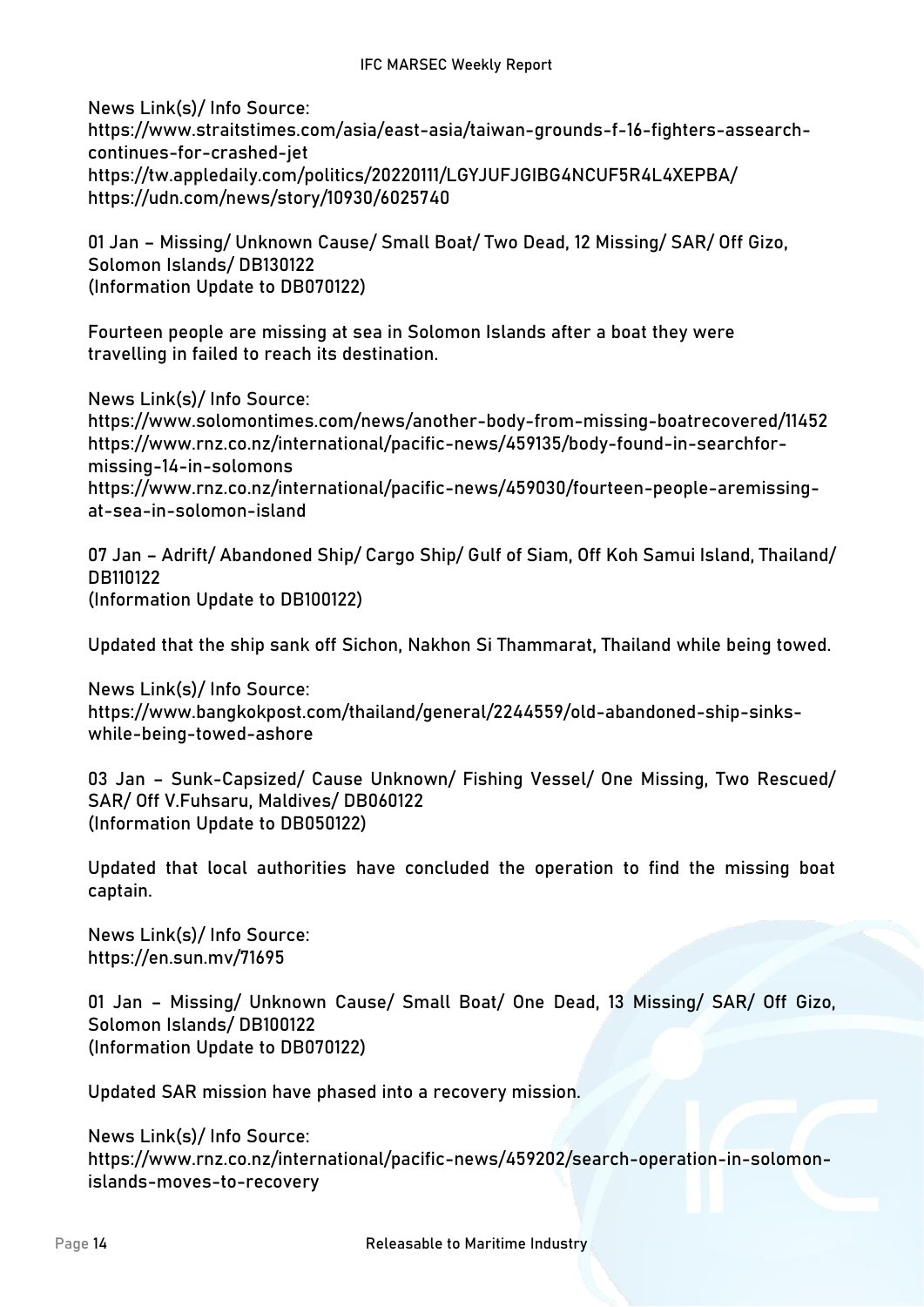**News Link(s)/ Info Source:** https://www.straitstimes.com/asia/east-asia/taiwan-grounds-f-16-fighters-assearchcontinues-for-crashed-jet https://tw.appledaily.com/politics/20220111/LGYJUFJGIBG4NCUF5R4L4XEPBA/ https://udn.com/news/story/10930/6025740

**01 Jan – Missing/ Unknown Cause/ Small Boat/ Two Dead, 12 Missing/ SAR/ Off Gizo, Solomon Islands/ DB130122 (Information Update to DB070122)**

Fourteen people are missing at sea in Solomon Islands after a boat they were travelling in failed to reach its destination.

**News Link(s)/ Info Source:** https://www.solomontimes.com/news/another-body-from-missing-boatrecovered/11452 https://www.rnz.co.nz/international/pacific-news/459135/body-found-in-searchformissing-14-in-solomons https://www.rnz.co.nz/international/pacific-news/459030/fourteen-people-aremissingat-sea-in-solomon-island

**07 Jan – Adrift/ Abandoned Ship/ Cargo Ship/ Gulf of Siam, Off Koh Samui Island, Thailand/ DB110122 (Information Update to DB100122)**

Updated that the ship sank off Sichon, Nakhon Si Thammarat, Thailand while being towed.

**News Link(s)/ Info Source:** https://www.bangkokpost.com/thailand/general/2244559/old-abandoned-ship-sinkswhile-being-towed-ashore

**03 Jan – Sunk-Capsized/ Cause Unknown/ Fishing Vessel/ One Missing, Two Rescued/ SAR/ Off V.Fuhsaru, Maldives/ DB060122 (Information Update to DB050122)**

Updated that local authorities have concluded the operation to find the missing boat captain.

**News Link(s)/ Info Source:** https://en.sun.mv/71695

**01 Jan – Missing/ Unknown Cause/ Small Boat/ One Dead, 13 Missing/ SAR/ Off Gizo, Solomon Islands/ DB100122 (Information Update to DB070122)**

Updated SAR mission have phased into a recovery mission.

**News Link(s)/ Info Source:** https://www.rnz.co.nz/international/pacific-news/459202/search-operation-in-solomonislands-moves-to-recovery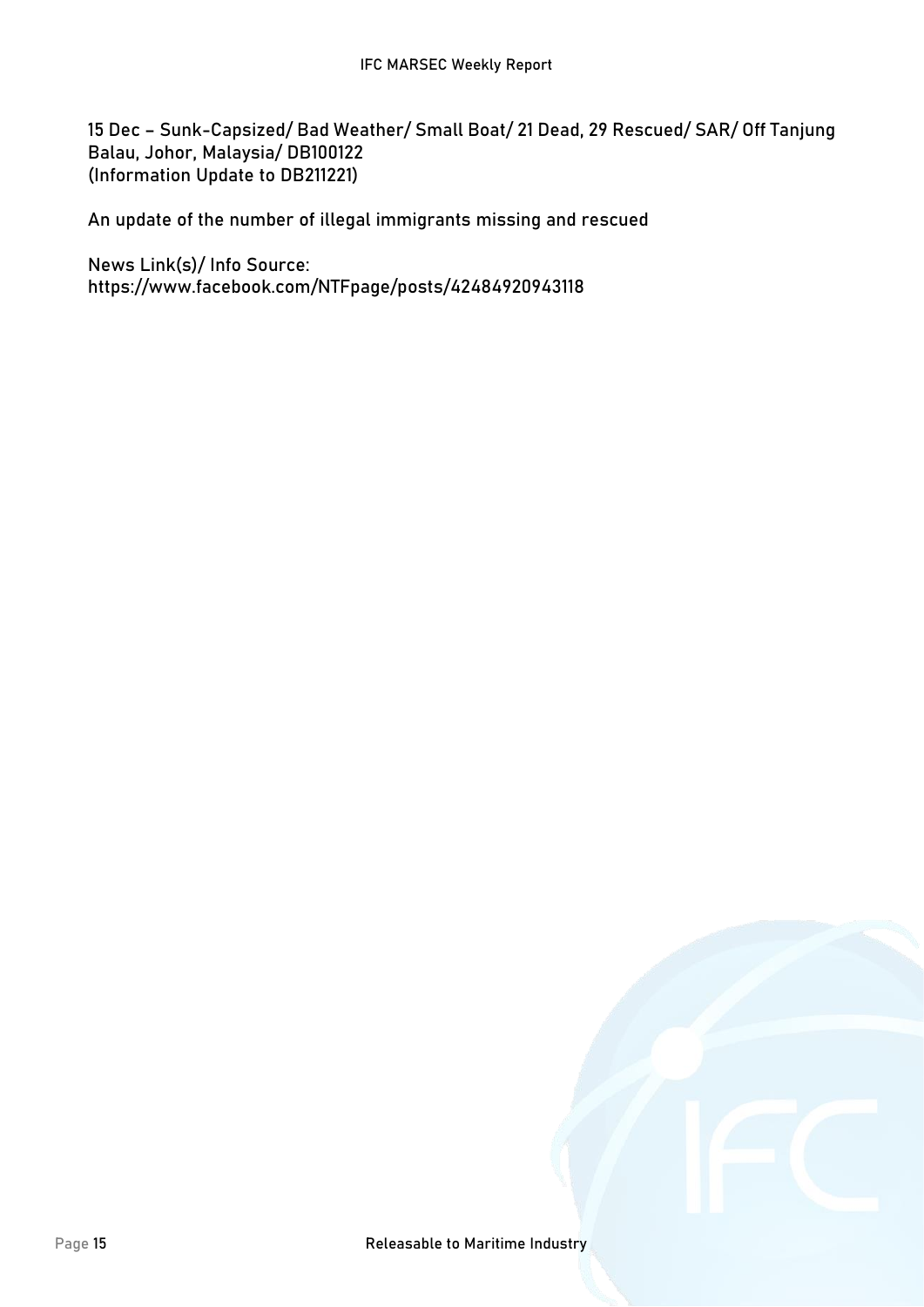**15 Dec – Sunk-Capsized/ Bad Weather/ Small Boat/ 21 Dead, 29 Rescued/ SAR/ Off Tanjung Balau, Johor, Malaysia/ DB100122 (Information Update to DB211221)**

An update of the number of illegal immigrants missing and rescued

**News Link(s)/ Info Source:** https://www.facebook.com/NTFpage/posts/42484920943118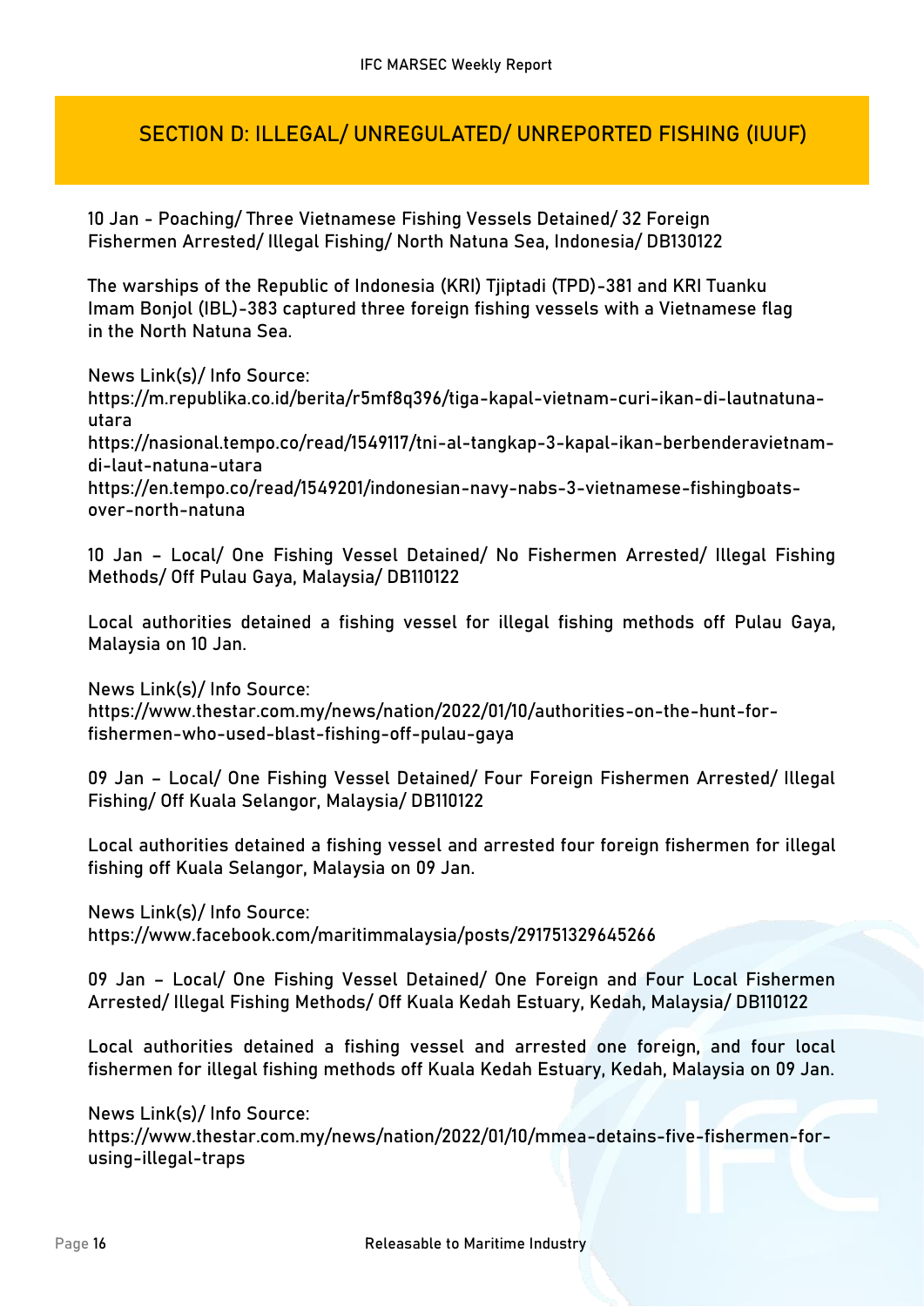## **SECTION D: ILLEGAL/ UNREGULATED/ UNREPORTED FISHING (IUUF)**

**10 Jan - Poaching/ Three Vietnamese Fishing Vessels Detained/ 32 Foreign Fishermen Arrested/ Illegal Fishing/ North Natuna Sea, Indonesia/ DB130122**

The warships of the Republic of Indonesia (KRI) Tjiptadi (TPD)-381 and KRI Tuanku Imam Bonjol (IBL)-383 captured three foreign fishing vessels with a Vietnamese flag in the North Natuna Sea.

**News Link(s)/ Info Source:** https://m.republika.co.id/berita/r5mf8q396/tiga-kapal-vietnam-curi-ikan-di-lautnatunautara https://nasional.tempo.co/read/1549117/tni-al-tangkap-3-kapal-ikan-berbenderavietnamdi-laut-natuna-utara https://en.tempo.co/read/1549201/indonesian-navy-nabs-3-vietnamese-fishingboatsover-north-natuna

**10 Jan – Local/ One Fishing Vessel Detained/ No Fishermen Arrested/ Illegal Fishing Methods/ Off Pulau Gaya, Malaysia/ DB110122**

Local authorities detained a fishing vessel for illegal fishing methods off Pulau Gaya, Malaysia on 10 Jan.

**News Link(s)/ Info Source:** https://www.thestar.com.my/news/nation/2022/01/10/authorities-on-the-hunt-forfishermen-who-used-blast-fishing-off-pulau-gaya

**09 Jan – Local/ One Fishing Vessel Detained/ Four Foreign Fishermen Arrested/ Illegal Fishing/ Off Kuala Selangor, Malaysia/ DB110122**

Local authorities detained a fishing vessel and arrested four foreign fishermen for illegal fishing off Kuala Selangor, Malaysia on 09 Jan.

**News Link(s)/ Info Source:**

https://www.facebook.com/maritimmalaysia/posts/291751329645266

**09 Jan – Local/ One Fishing Vessel Detained/ One Foreign and Four Local Fishermen Arrested/ Illegal Fishing Methods/ Off Kuala Kedah Estuary, Kedah, Malaysia/ DB110122**

Local authorities detained a fishing vessel and arrested one foreign, and four local fishermen for illegal fishing methods off Kuala Kedah Estuary, Kedah, Malaysia on 09 Jan.

**News Link(s)/ Info Source:**

https://www.thestar.com.my/news/nation/2022/01/10/mmea-detains-five-fishermen-forusing-illegal-traps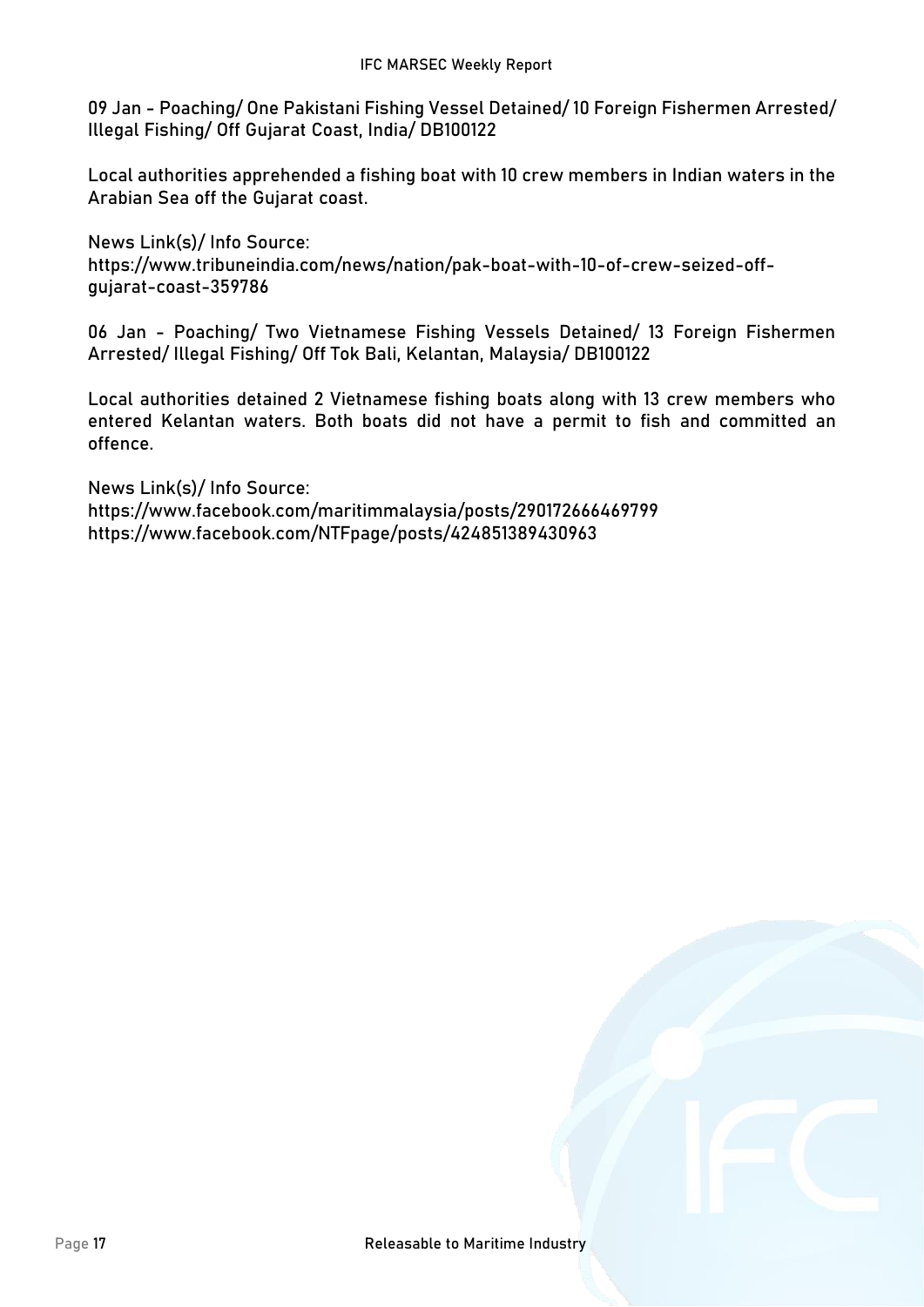**09 Jan - Poaching/ One Pakistani Fishing Vessel Detained/ 10 Foreign Fishermen Arrested/ Illegal Fishing/ Off Gujarat Coast, India/ DB100122**

Local authorities apprehended a fishing boat with 10 crew members in Indian waters in the Arabian Sea off the Gujarat coast.

**News Link(s)/ Info Source:** https://www.tribuneindia.com/news/nation/pak-boat-with-10-of-crew-seized-offgujarat-coast-359786

**06 Jan - Poaching/ Two Vietnamese Fishing Vessels Detained/ 13 Foreign Fishermen Arrested/ Illegal Fishing/ Off Tok Bali, Kelantan, Malaysia/ DB100122**

Local authorities detained 2 Vietnamese fishing boats along with 13 crew members who entered Kelantan waters. Both boats did not have a permit to fish and committed an offence.

**News Link(s)/ Info Source:** https://www.facebook.com/maritimmalaysia/posts/290172666469799 https://www.facebook.com/NTFpage/posts/424851389430963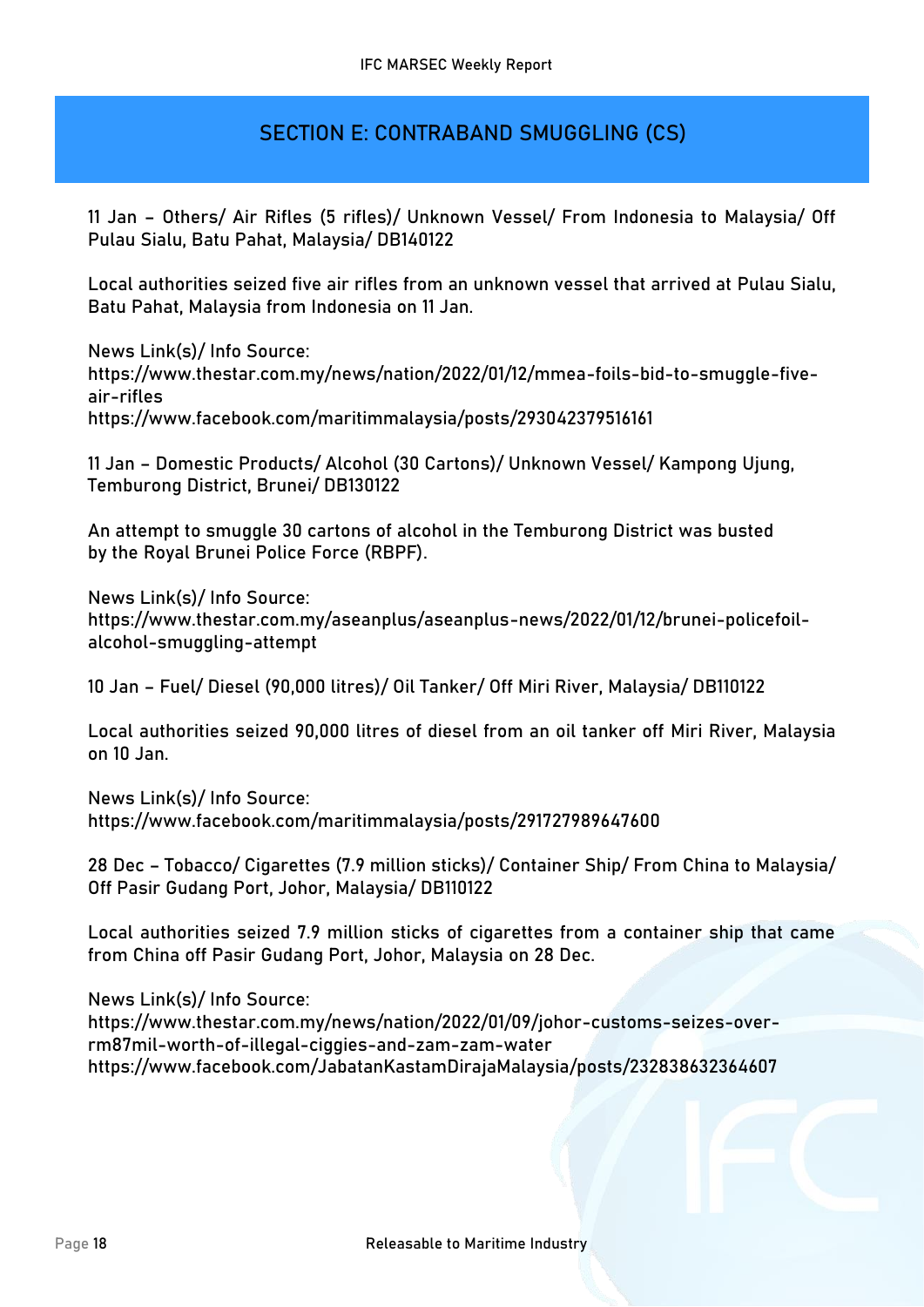## **SECTION E: CONTRABAND SMUGGLING (CS)**

**11 Jan – Others/ Air Rifles (5 rifles)/ Unknown Vessel/ From Indonesia to Malaysia/ Off Pulau Sialu, Batu Pahat, Malaysia/ DB140122**

Local authorities seized five air rifles from an unknown vessel that arrived at Pulau Sialu, Batu Pahat, Malaysia from Indonesia on 11 Jan.

**News Link(s)/ Info Source:** https://www.thestar.com.my/news/nation/2022/01/12/mmea-foils-bid-to-smuggle-fiveair-rifles https://www.facebook.com/maritimmalaysia/posts/293042379516161

**11 Jan – Domestic Products/ Alcohol (30 Cartons)/ Unknown Vessel/ Kampong Ujung, Temburong District, Brunei/ DB130122**

An attempt to smuggle 30 cartons of alcohol in the Temburong District was busted by the Royal Brunei Police Force (RBPF).

**News Link(s)/ Info Source:** https://www.thestar.com.my/aseanplus/aseanplus-news/2022/01/12/brunei-policefoilalcohol-smuggling-attempt

**10 Jan – Fuel/ Diesel (90,000 litres)/ Oil Tanker/ Off Miri River, Malaysia/ DB110122**

Local authorities seized 90,000 litres of diesel from an oil tanker off Miri River, Malaysia on 10 Jan.

**News Link(s)/ Info Source:** https://www.facebook.com/maritimmalaysia/posts/291727989647600

**28 Dec – Tobacco/ Cigarettes (7.9 million sticks)/ Container Ship/ From China to Malaysia/ Off Pasir Gudang Port, Johor, Malaysia/ DB110122**

Local authorities seized 7.9 million sticks of cigarettes from a container ship that came from China off Pasir Gudang Port, Johor, Malaysia on 28 Dec.

**News Link(s)/ Info Source:** https://www.thestar.com.my/news/nation/2022/01/09/johor-customs-seizes-overrm87mil-worth-of-illegal-ciggies-and-zam-zam-water https://www.facebook.com/JabatanKastamDirajaMalaysia/posts/232838632364607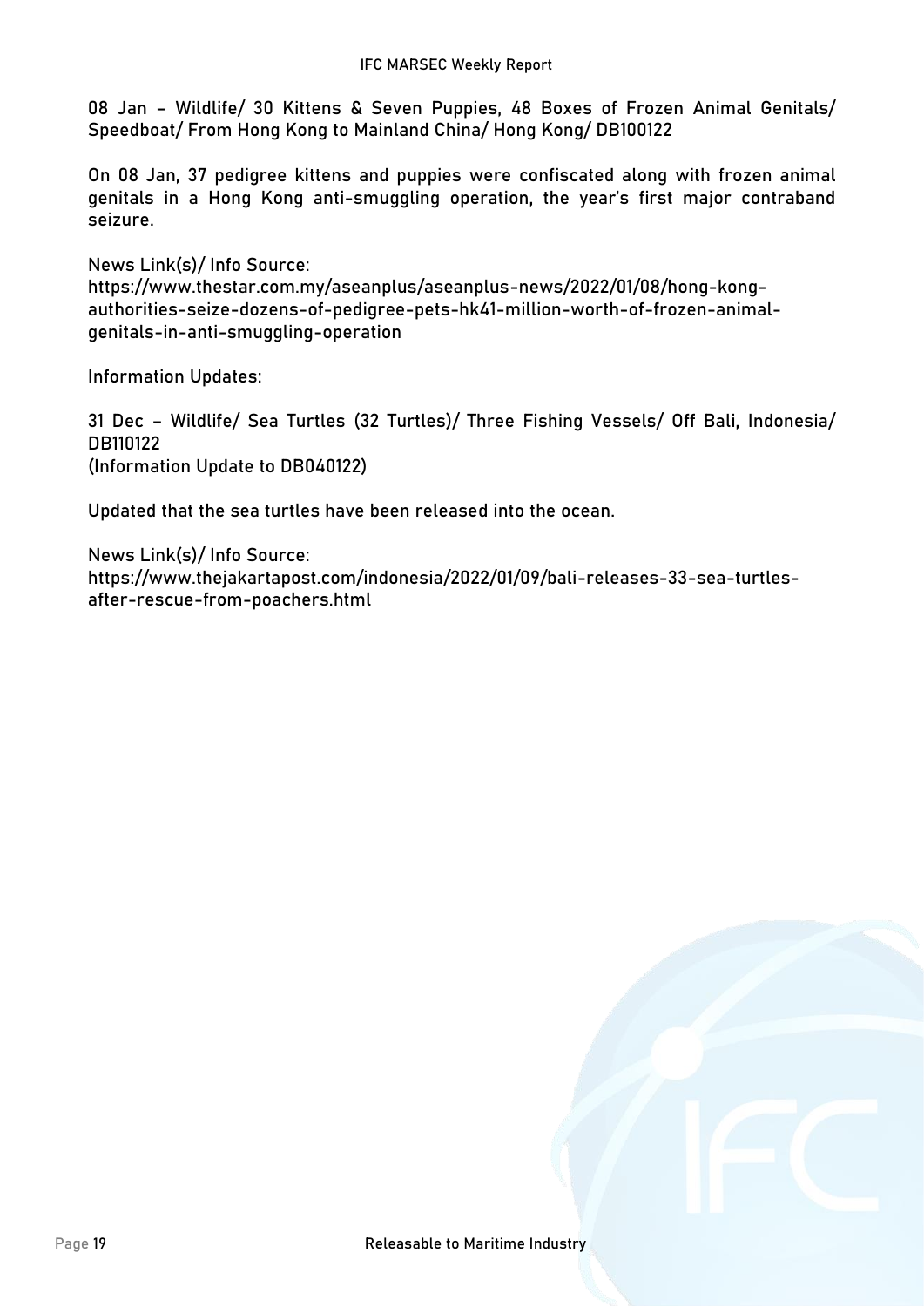**08 Jan – Wildlife/ 30 Kittens & Seven Puppies, 48 Boxes of Frozen Animal Genitals/ Speedboat/ From Hong Kong to Mainland China/ Hong Kong/ DB100122**

On 08 Jan, 37 pedigree kittens and puppies were confiscated along with frozen animal genitals in a Hong Kong anti-smuggling operation, the year's first major contraband seizure.

**News Link(s)/ Info Source:** https://www.thestar.com.my/aseanplus/aseanplus-news/2022/01/08/hong-kongauthorities-seize-dozens-of-pedigree-pets-hk41-million-worth-of-frozen-animalgenitals-in-anti-smuggling-operation

**Information Updates:**

**31 Dec – Wildlife/ Sea Turtles (32 Turtles)/ Three Fishing Vessels/ Off Bali, Indonesia/ DB110122 (Information Update to DB040122)**

Updated that the sea turtles have been released into the ocean.

**News Link(s)/ Info Source:** https://www.thejakartapost.com/indonesia/2022/01/09/bali-releases-33-sea-turtlesafter-rescue-from-poachers.html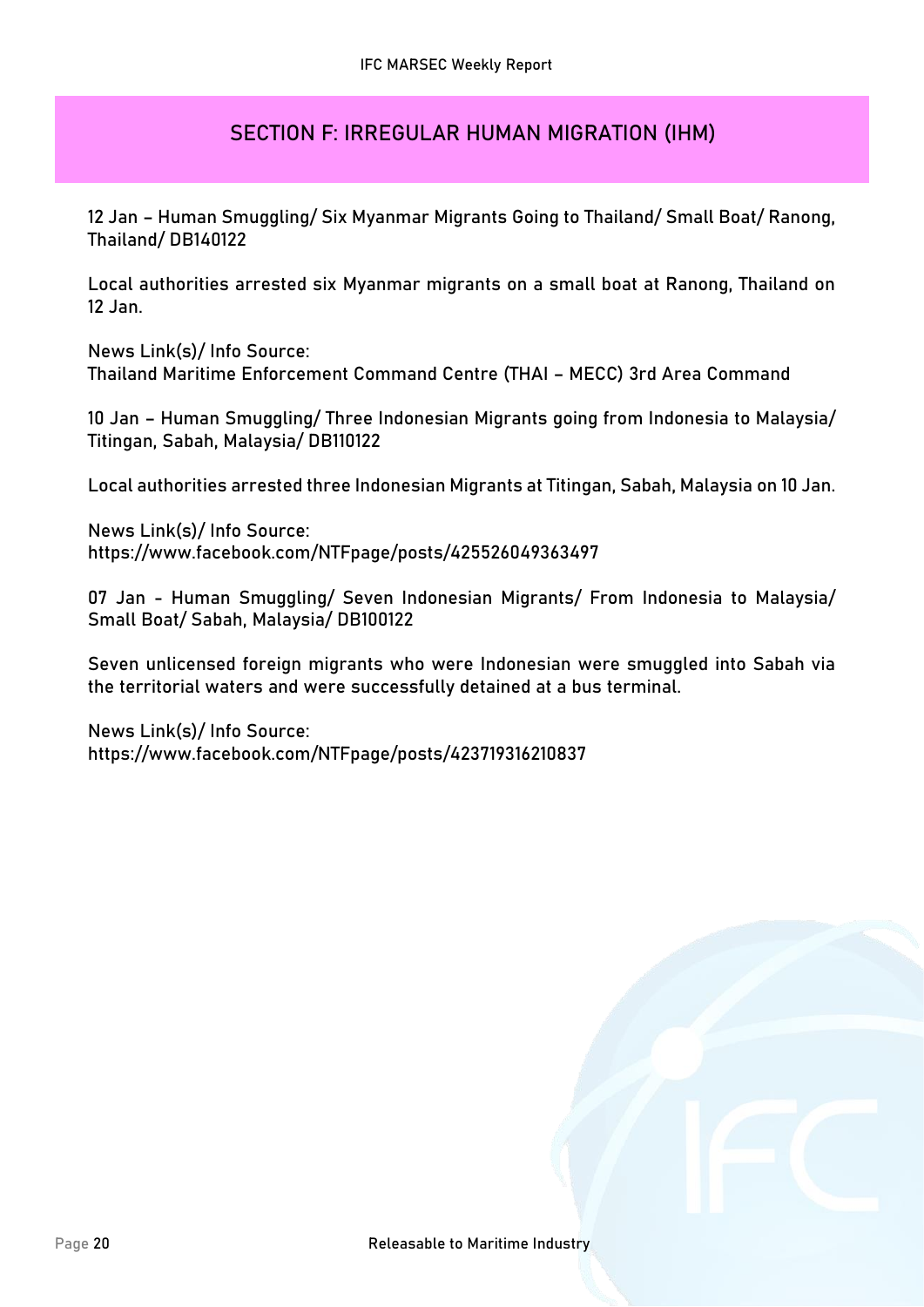## **SECTION F: IRREGULAR HUMAN MIGRATION (IHM)**

**12 Jan – Human Smuggling/ Six Myanmar Migrants Going to Thailand/ Small Boat/ Ranong, Thailand/ DB140122**

Local authorities arrested six Myanmar migrants on a small boat at Ranong, Thailand on 12 Jan.

**News Link(s)/ Info Source:** Thailand Maritime Enforcement Command Centre (THAI – MECC) 3rd Area Command

**10 Jan – Human Smuggling/ Three Indonesian Migrants going from Indonesia to Malaysia/ Titingan, Sabah, Malaysia/ DB110122**

Local authorities arrested three Indonesian Migrants at Titingan, Sabah, Malaysia on 10 Jan.

**News Link(s)/ Info Source:** https://www.facebook.com/NTFpage/posts/425526049363497

**07 Jan - Human Smuggling/ Seven Indonesian Migrants/ From Indonesia to Malaysia/ Small Boat/ Sabah, Malaysia/ DB100122**

Seven unlicensed foreign migrants who were Indonesian were smuggled into Sabah via the territorial waters and were successfully detained at a bus terminal.

**News Link(s)/ Info Source:** https://www.facebook.com/NTFpage/posts/423719316210837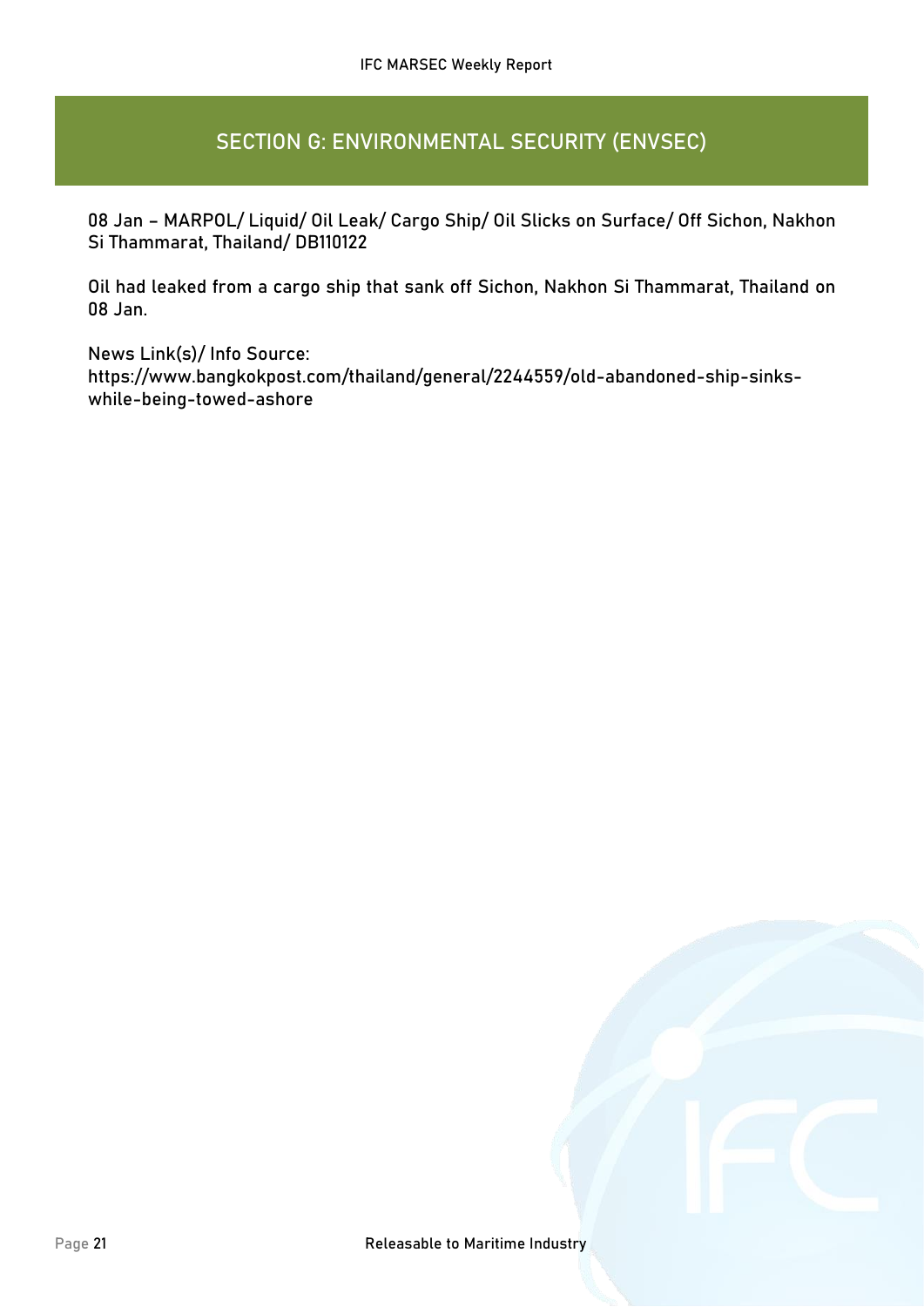## **SECTION G: ENVIRONMENTAL SECURITY (ENVSEC)**

**08 Jan – MARPOL/ Liquid/ Oil Leak/ Cargo Ship/ Oil Slicks on Surface/ Off Sichon, Nakhon Si Thammarat, Thailand/ DB110122**

Oil had leaked from a cargo ship that sank off Sichon, Nakhon Si Thammarat, Thailand on 08 Jan.

**News Link(s)/ Info Source:** https://www.bangkokpost.com/thailand/general/2244559/old-abandoned-ship-sinkswhile-being-towed-ashore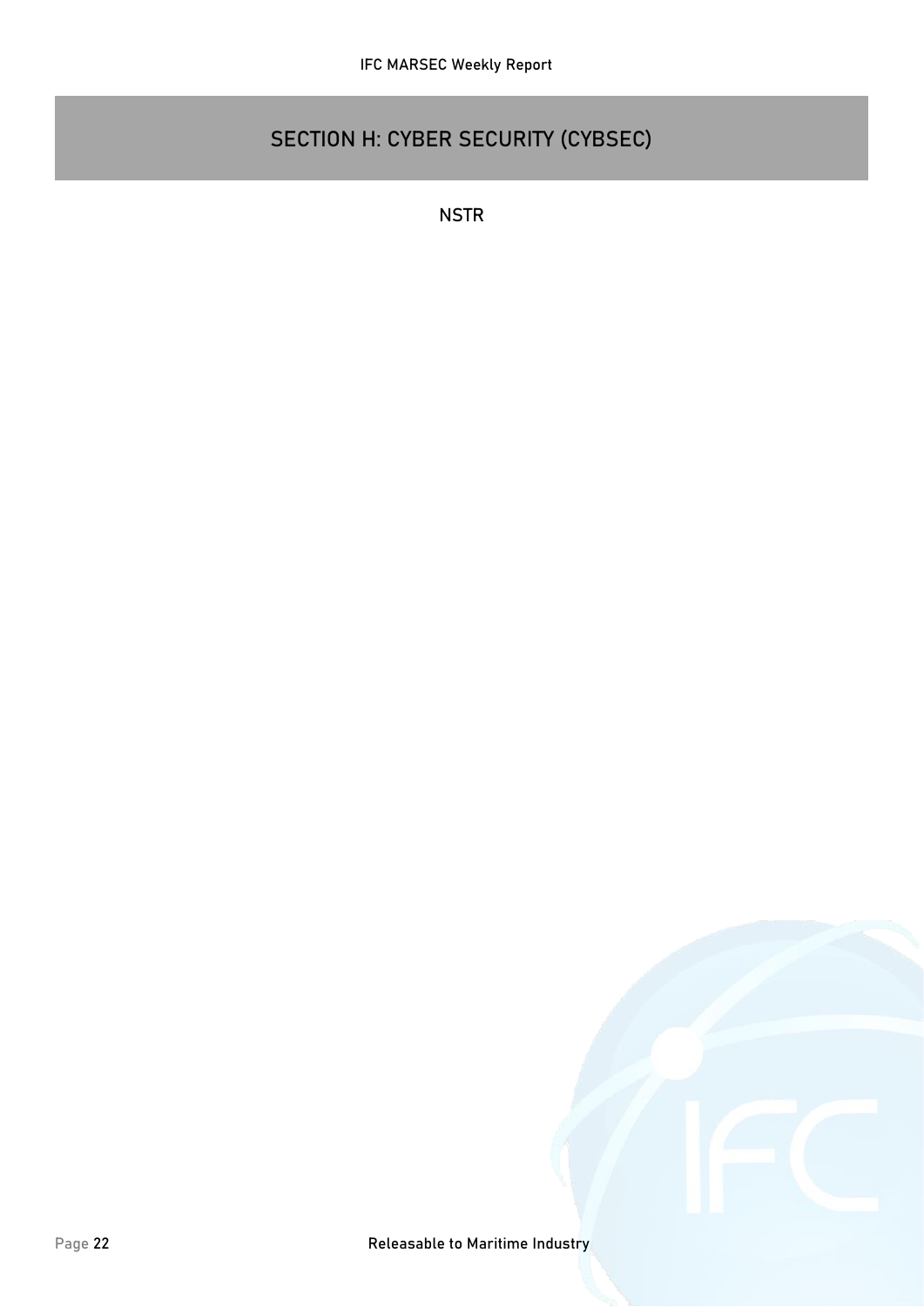# **SECTION H: CYBER SECURITY (CYBSEC)**

**NSTR**

Page 22 **Page 22 Releasable to Maritime Industry**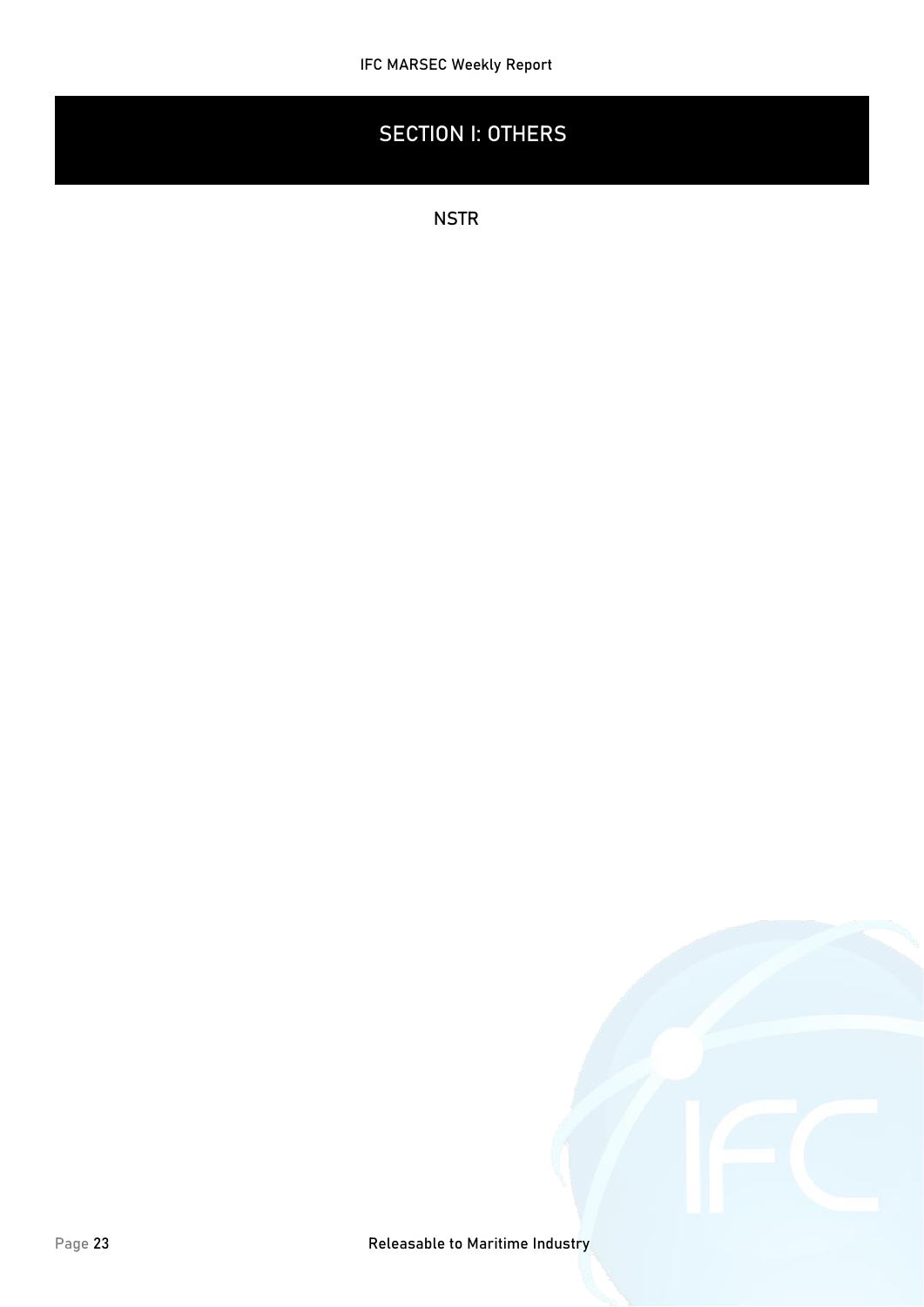# **SECTION I: OTHERS**

**NSTR**

Page 23 **Page 23 Releasable to Maritime Industry**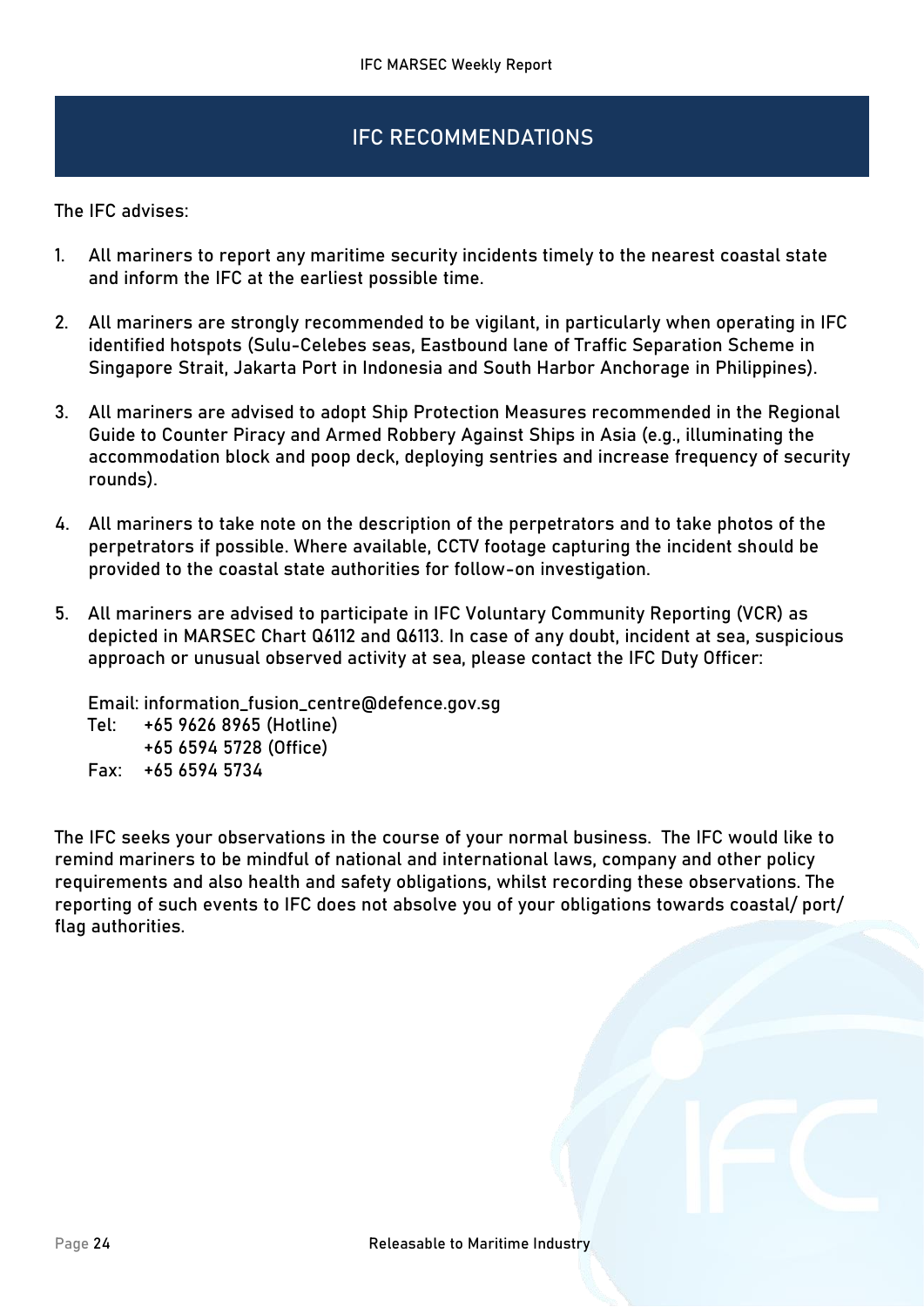## IFC RECOMMENDATIONS

The IFC advises:

- 1. All mariners to report any maritime security incidents timely to the nearest coastal state and inform the IFC at the earliest possible time.
- 2. All mariners are strongly recommended to be vigilant, in particularly when operating in IFC identified hotspots (Sulu-Celebes seas, Eastbound lane of Traffic Separation Scheme in Singapore Strait, Jakarta Port in Indonesia and South Harbor Anchorage in Philippines).
- 3. All mariners are advised to adopt Ship Protection Measures recommended in the Regional Guide to Counter Piracy and Armed Robbery Against Ships in Asia (e.g., illuminating the accommodation block and poop deck, deploying sentries and increase frequency of security rounds).
- 4. All mariners to take note on the description of the perpetrators and to take photos of the perpetrators if possible. Where available, CCTV footage capturing the incident should be provided to the coastal state authorities for follow-on investigation.
- 5. All mariners are advised to participate in IFC Voluntary Community Reporting (VCR) as depicted in MARSEC Chart Q6112 and Q6113. In case of any doubt, incident at sea, suspicious approach or unusual observed activity at sea, please contact the IFC Duty Officer:

Email: information\_fusion\_centre@defence.gov.sg

- Tel: +65 9626 8965 (Hotline) +65 6594 5728 (Office)
- Fax: +65 6594 5734

The IFC seeks your observations in the course of your normal business. The IFC would like to remind mariners to be mindful of national and international laws, company and other policy requirements and also health and safety obligations, whilst recording these observations. The reporting of such events to IFC does not absolve you of your obligations towards coastal/ port/ flag authorities.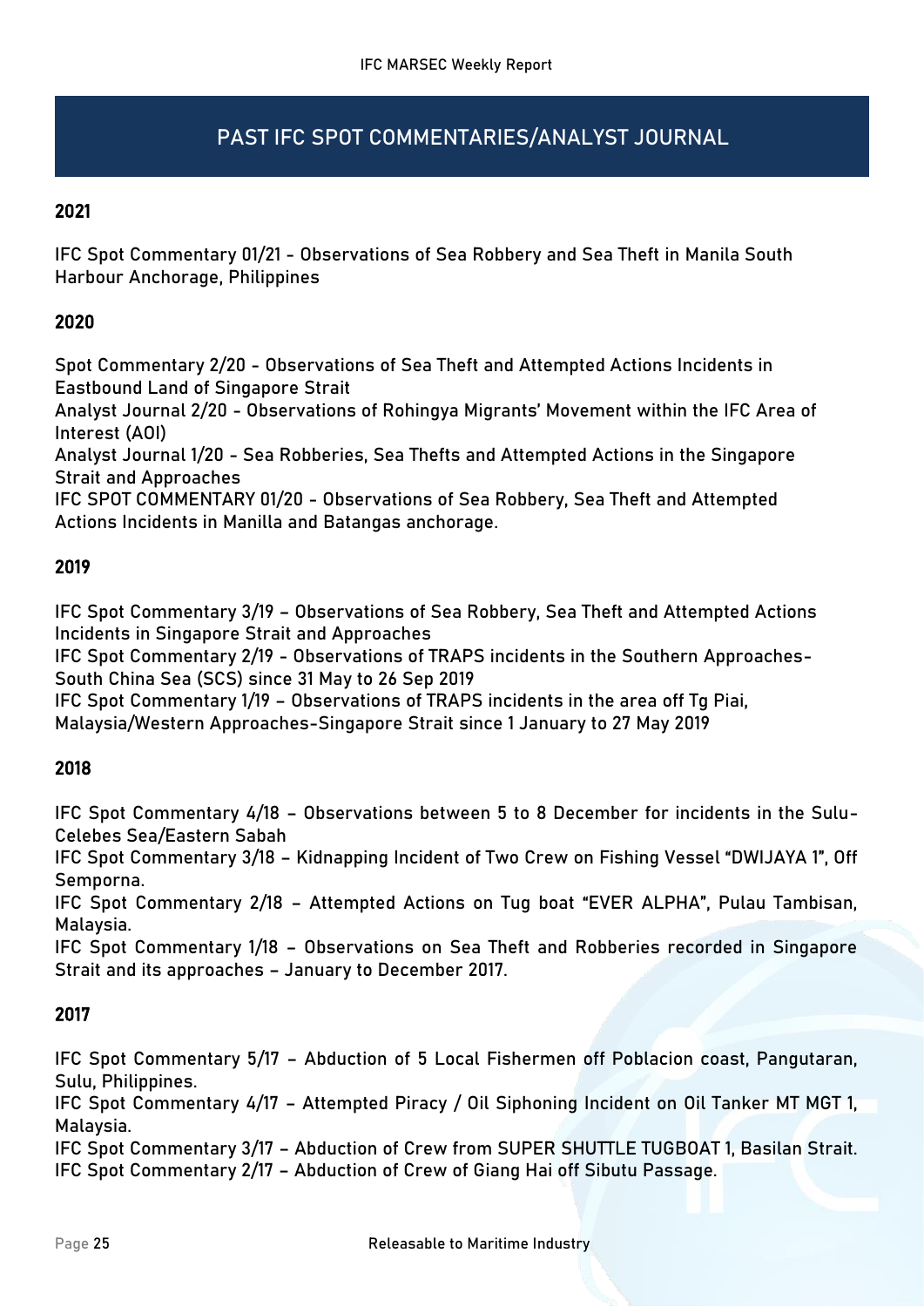# PAST IFC SPOT COMMENTARIES/ANALYST JOURNAL

### 2021

IFC Spot Commentary 01/21 - Observations of Sea Robbery and Sea Theft in Manila South Harbour Anchorage, Philippines

### 2020

Spot Commentary 2/20 - Observations of Sea Theft and Attempted Actions Incidents in Eastbound Land of Singapore Strait

Analyst Journal 2/20 - Observations of Rohingya Migrants' Movement within the IFC Area of Interest (AOI)

Analyst Journal 1/20 - Sea Robberies, Sea Thefts and Attempted Actions in the Singapore Strait and Approaches

IFC SPOT COMMENTARY 01/20 - Observations of Sea Robbery, Sea Theft and Attempted Actions Incidents in Manilla and Batangas anchorage.

### 2019

IFC Spot Commentary 3/19 – Observations of Sea Robbery, Sea Theft and Attempted Actions Incidents in Singapore Strait and Approaches

IFC Spot Commentary 2/19 - Observations of TRAPS incidents in the Southern Approaches-South China Sea (SCS) since 31 May to 26 Sep 2019

IFC Spot Commentary 1/19 – Observations of TRAPS incidents in the area off Tg Piai, Malaysia/Western Approaches-Singapore Strait since 1 January to 27 May 2019

### 2018

IFC Spot Commentary 4/18 – Observations between 5 to 8 December for incidents in the Sulu-Celebes Sea/Eastern Sabah

IFC Spot Commentary 3/18 – Kidnapping Incident of Two Crew on Fishing Vessel "DWIJAYA 1", Off Semporna.

IFC Spot Commentary 2/18 – Attempted Actions on Tug boat "EVER ALPHA", Pulau Tambisan, Malaysia.

IFC Spot Commentary 1/18 – Observations on Sea Theft and Robberies recorded in Singapore Strait and its approaches – January to December 2017.

### 2017

IFC Spot Commentary 5/17 – Abduction of 5 Local Fishermen off Poblacion coast, Pangutaran, Sulu, Philippines.

IFC Spot Commentary 4/17 – Attempted Piracy / Oil Siphoning Incident on Oil Tanker MT MGT 1, Malaysia.

IFC Spot Commentary 3/17 – Abduction of Crew from SUPER SHUTTLE TUGBOAT 1, Basilan Strait. IFC Spot Commentary 2/17 – Abduction of Crew of Giang Hai off Sibutu Passage.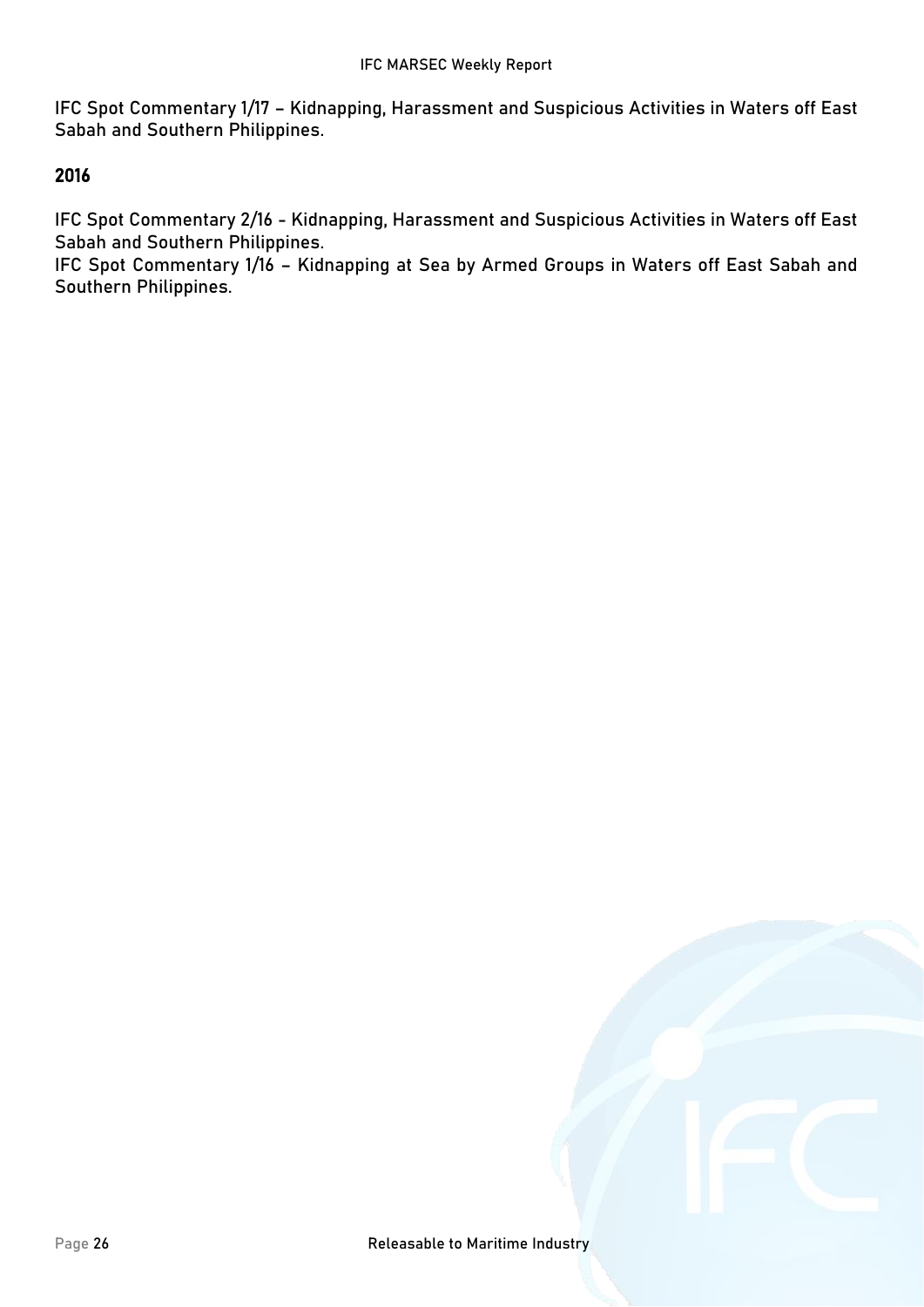IFC Spot Commentary 1/17 – Kidnapping, Harassment and Suspicious Activities in Waters off East Sabah and Southern Philippines.

#### 2016

IFC Spot Commentary 2/16 - Kidnapping, Harassment and Suspicious Activities in Waters off East Sabah and Southern Philippines.

IFC Spot Commentary 1/16 – Kidnapping at Sea by Armed Groups in Waters off East Sabah and Southern Philippines.